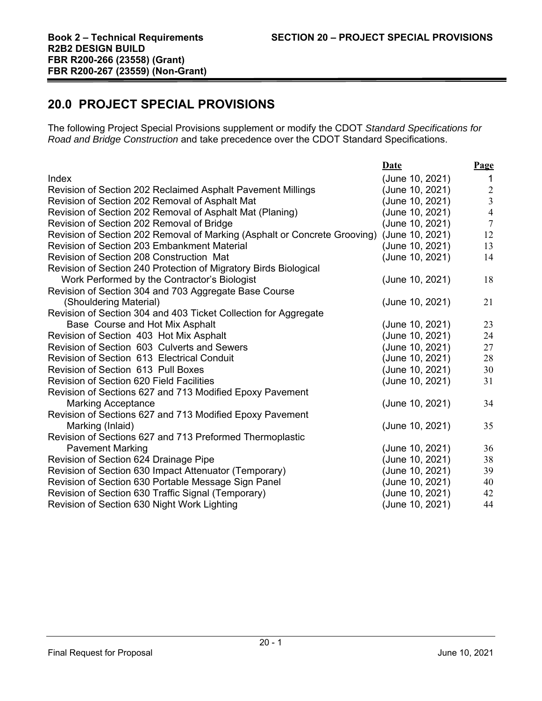# **20.0 PROJECT SPECIAL PROVISIONS**

The following Project Special Provisions supplement or modify the CDOT *Standard Specifications for Road and Bridge Construction* and take precedence over the CDOT Standard Specifications.

|                                                                           | Date            | Page                                  |
|---------------------------------------------------------------------------|-----------------|---------------------------------------|
| Index                                                                     | (June 10, 2021) | $\overline{1}$                        |
| Revision of Section 202 Reclaimed Asphalt Pavement Millings               | (June 10, 2021) | $\begin{array}{c} 2 \\ 3 \end{array}$ |
| Revision of Section 202 Removal of Asphalt Mat                            | (June 10, 2021) |                                       |
| Revision of Section 202 Removal of Asphalt Mat (Planing)                  | (June 10, 2021) | $\overline{4}$                        |
| Revision of Section 202 Removal of Bridge                                 | (June 10, 2021) | $7\overline{ }$                       |
| Revision of Section 202 Removal of Marking (Asphalt or Concrete Grooving) | (June 10, 2021) | 12                                    |
| <b>Revision of Section 203 Embankment Material</b>                        | June 10, 2021)  | 13                                    |
| Revision of Section 208 Construction Mat                                  | (June 10, 2021) | 14                                    |
| Revision of Section 240 Protection of Migratory Birds Biological          |                 |                                       |
| Work Performed by the Contractor's Biologist                              | (June 10, 2021) | 18                                    |
| Revision of Section 304 and 703 Aggregate Base Course                     |                 |                                       |
| (Shouldering Material)                                                    | (June 10, 2021) | 21                                    |
| Revision of Section 304 and 403 Ticket Collection for Aggregate           |                 |                                       |
| Base Course and Hot Mix Asphalt                                           | (June 10, 2021) | 23                                    |
| Revision of Section 403 Hot Mix Asphalt                                   | (June 10, 2021) | 24                                    |
| Revision of Section 603 Culverts and Sewers                               | (June 10, 2021) | 27                                    |
| Revision of Section 613 Electrical Conduit                                | (June 10, 2021) | 28                                    |
| Revision of Section 613 Pull Boxes                                        | (June 10, 2021) | 30                                    |
| Revision of Section 620 Field Facilities                                  | (June 10, 2021) | 31                                    |
| Revision of Sections 627 and 713 Modified Epoxy Pavement                  |                 |                                       |
| <b>Marking Acceptance</b>                                                 | (June 10, 2021) | 34                                    |
| Revision of Sections 627 and 713 Modified Epoxy Pavement                  |                 |                                       |
| Marking (Inlaid)                                                          | (June 10, 2021) | 35                                    |
| Revision of Sections 627 and 713 Preformed Thermoplastic                  |                 |                                       |
| <b>Pavement Marking</b>                                                   | (June 10, 2021) | 36                                    |
| Revision of Section 624 Drainage Pipe                                     | (June 10, 2021) | 38                                    |
| Revision of Section 630 Impact Attenuator (Temporary)                     | (June 10, 2021) | 39                                    |
| Revision of Section 630 Portable Message Sign Panel                       | (June 10, 2021) | 40                                    |
| Revision of Section 630 Traffic Signal (Temporary)                        | (June 10, 2021) | 42                                    |
| Revision of Section 630 Night Work Lighting                               | (June 10, 2021) | 44                                    |
|                                                                           |                 |                                       |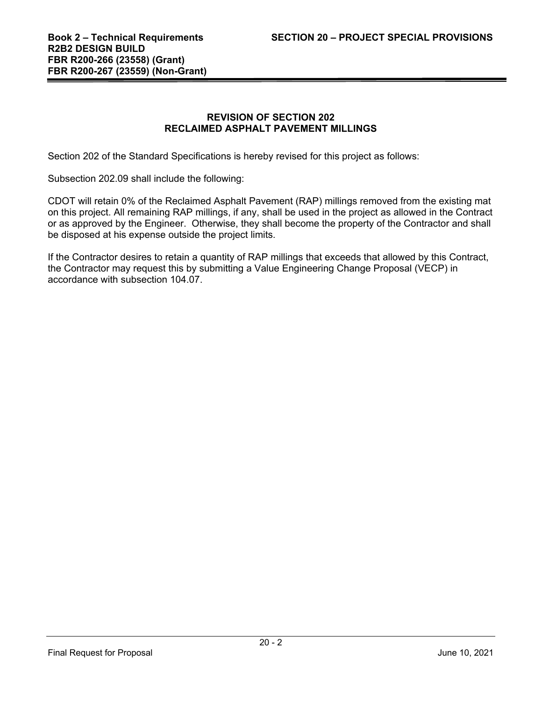## **REVISION OF SECTION 202 RECLAIMED ASPHALT PAVEMENT MILLINGS**

Section 202 of the Standard Specifications is hereby revised for this project as follows:

Subsection 202.09 shall include the following:

CDOT will retain 0% of the Reclaimed Asphalt Pavement (RAP) millings removed from the existing mat on this project. All remaining RAP millings, if any, shall be used in the project as allowed in the Contract or as approved by the Engineer. Otherwise, they shall become the property of the Contractor and shall be disposed at his expense outside the project limits.

If the Contractor desires to retain a quantity of RAP millings that exceeds that allowed by this Contract, the Contractor may request this by submitting a Value Engineering Change Proposal (VECP) in accordance with subsection 104.07.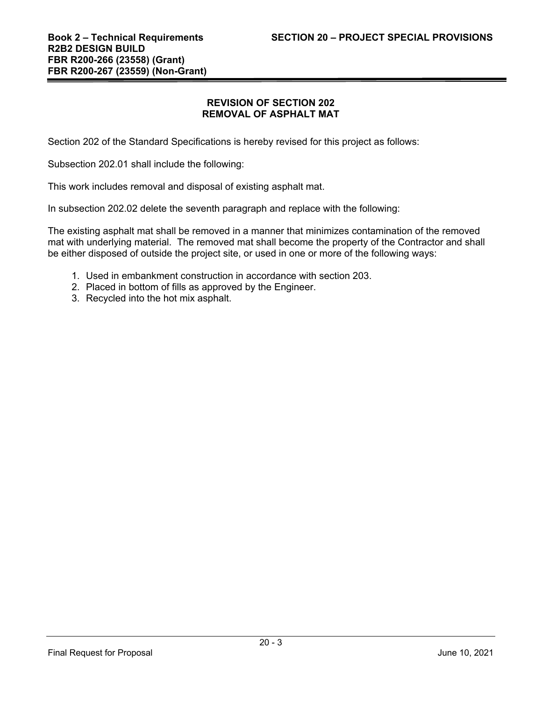## **REVISION OF SECTION 202 REMOVAL OF ASPHALT MAT**

Section 202 of the Standard Specifications is hereby revised for this project as follows:

Subsection 202.01 shall include the following:

This work includes removal and disposal of existing asphalt mat.

In subsection 202.02 delete the seventh paragraph and replace with the following:

The existing asphalt mat shall be removed in a manner that minimizes contamination of the removed mat with underlying material. The removed mat shall become the property of the Contractor and shall be either disposed of outside the project site, or used in one or more of the following ways:

- 1. Used in embankment construction in accordance with section 203.
- 2. Placed in bottom of fills as approved by the Engineer.
- 3. Recycled into the hot mix asphalt.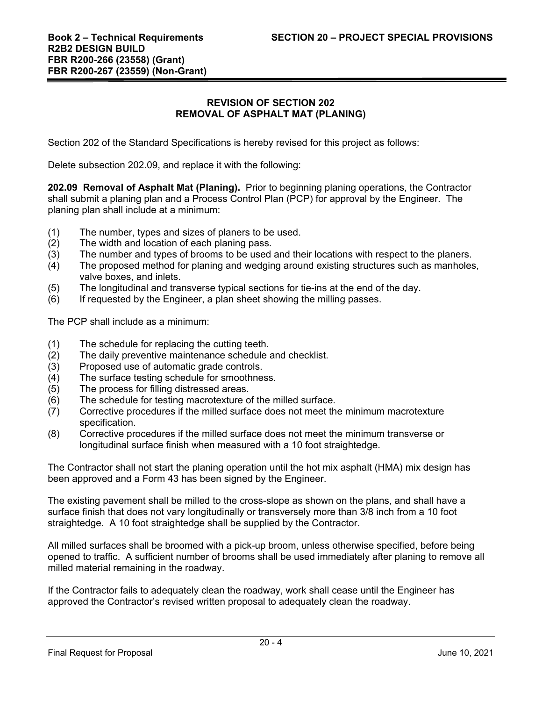## **REVISION OF SECTION 202 REMOVAL OF ASPHALT MAT (PLANING)**

Section 202 of the Standard Specifications is hereby revised for this project as follows:

Delete subsection 202.09, and replace it with the following:

**202.09 Removal of Asphalt Mat (Planing).** Prior to beginning planing operations, the Contractor shall submit a planing plan and a Process Control Plan (PCP) for approval by the Engineer. The planing plan shall include at a minimum:

- (1) The number, types and sizes of planers to be used.
- (2) The width and location of each planing pass.
- (3) The number and types of brooms to be used and their locations with respect to the planers.
- (4) The proposed method for planing and wedging around existing structures such as manholes, valve boxes, and inlets.
- (5) The longitudinal and transverse typical sections for tie-ins at the end of the day.
- (6) If requested by the Engineer, a plan sheet showing the milling passes.

The PCP shall include as a minimum:

- (1) The schedule for replacing the cutting teeth.
- (2) The daily preventive maintenance schedule and checklist.
- (3) Proposed use of automatic grade controls.
- (4) The surface testing schedule for smoothness.
- (5) The process for filling distressed areas.
- (6) The schedule for testing macrotexture of the milled surface.
- (7) Corrective procedures if the milled surface does not meet the minimum macrotexture specification.
- (8) Corrective procedures if the milled surface does not meet the minimum transverse or longitudinal surface finish when measured with a 10 foot straightedge.

The Contractor shall not start the planing operation until the hot mix asphalt (HMA) mix design has been approved and a Form 43 has been signed by the Engineer.

The existing pavement shall be milled to the cross-slope as shown on the plans, and shall have a surface finish that does not vary longitudinally or transversely more than 3/8 inch from a 10 foot straightedge. A 10 foot straightedge shall be supplied by the Contractor.

All milled surfaces shall be broomed with a pick-up broom, unless otherwise specified, before being opened to traffic. A sufficient number of brooms shall be used immediately after planing to remove all milled material remaining in the roadway.

If the Contractor fails to adequately clean the roadway, work shall cease until the Engineer has approved the Contractor's revised written proposal to adequately clean the roadway.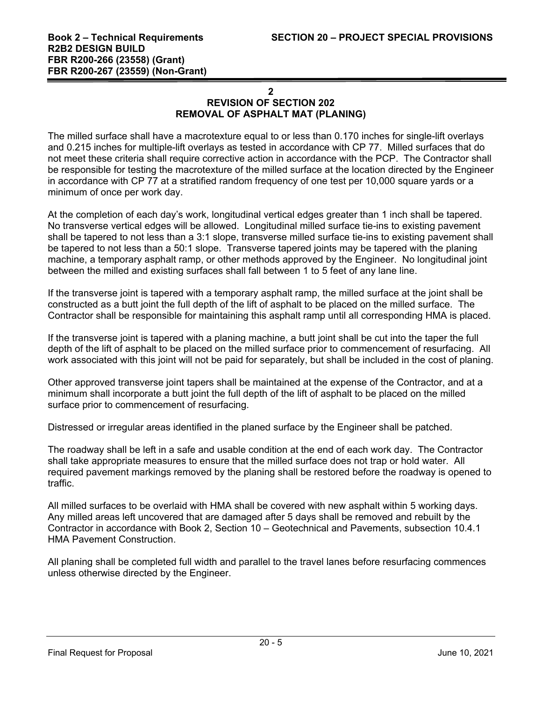## **2 REVISION OF SECTION 202 REMOVAL OF ASPHALT MAT (PLANING)**

The milled surface shall have a macrotexture equal to or less than 0.170 inches for single-lift overlays and 0.215 inches for multiple-lift overlays as tested in accordance with CP 77. Milled surfaces that do not meet these criteria shall require corrective action in accordance with the PCP. The Contractor shall be responsible for testing the macrotexture of the milled surface at the location directed by the Engineer in accordance with CP 77 at a stratified random frequency of one test per 10,000 square yards or a minimum of once per work day.

At the completion of each day's work, longitudinal vertical edges greater than 1 inch shall be tapered. No transverse vertical edges will be allowed. Longitudinal milled surface tie-ins to existing pavement shall be tapered to not less than a 3:1 slope, transverse milled surface tie-ins to existing pavement shall be tapered to not less than a 50:1 slope. Transverse tapered joints may be tapered with the planing machine, a temporary asphalt ramp, or other methods approved by the Engineer. No longitudinal joint between the milled and existing surfaces shall fall between 1 to 5 feet of any lane line.

If the transverse joint is tapered with a temporary asphalt ramp, the milled surface at the joint shall be constructed as a butt joint the full depth of the lift of asphalt to be placed on the milled surface. The Contractor shall be responsible for maintaining this asphalt ramp until all corresponding HMA is placed.

If the transverse joint is tapered with a planing machine, a butt joint shall be cut into the taper the full depth of the lift of asphalt to be placed on the milled surface prior to commencement of resurfacing. All work associated with this joint will not be paid for separately, but shall be included in the cost of planing.

Other approved transverse joint tapers shall be maintained at the expense of the Contractor, and at a minimum shall incorporate a butt joint the full depth of the lift of asphalt to be placed on the milled surface prior to commencement of resurfacing.

Distressed or irregular areas identified in the planed surface by the Engineer shall be patched.

The roadway shall be left in a safe and usable condition at the end of each work day. The Contractor shall take appropriate measures to ensure that the milled surface does not trap or hold water. All required pavement markings removed by the planing shall be restored before the roadway is opened to traffic.

All milled surfaces to be overlaid with HMA shall be covered with new asphalt within 5 working days. Any milled areas left uncovered that are damaged after 5 days shall be removed and rebuilt by the Contractor in accordance with Book 2, Section 10 – Geotechnical and Pavements, subsection 10.4.1 HMA Pavement Construction.

All planing shall be completed full width and parallel to the travel lanes before resurfacing commences unless otherwise directed by the Engineer.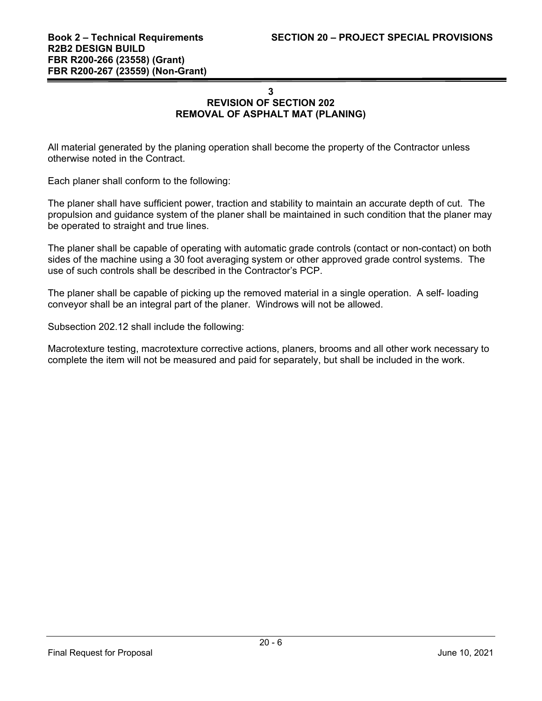# **3 REVISION OF SECTION 202 REMOVAL OF ASPHALT MAT (PLANING)**

All material generated by the planing operation shall become the property of the Contractor unless otherwise noted in the Contract.

Each planer shall conform to the following:

The planer shall have sufficient power, traction and stability to maintain an accurate depth of cut. The propulsion and guidance system of the planer shall be maintained in such condition that the planer may be operated to straight and true lines.

The planer shall be capable of operating with automatic grade controls (contact or non-contact) on both sides of the machine using a 30 foot averaging system or other approved grade control systems. The use of such controls shall be described in the Contractor's PCP.

The planer shall be capable of picking up the removed material in a single operation. A self- loading conveyor shall be an integral part of the planer. Windrows will not be allowed.

Subsection 202.12 shall include the following:

Macrotexture testing, macrotexture corrective actions, planers, brooms and all other work necessary to complete the item will not be measured and paid for separately, but shall be included in the work.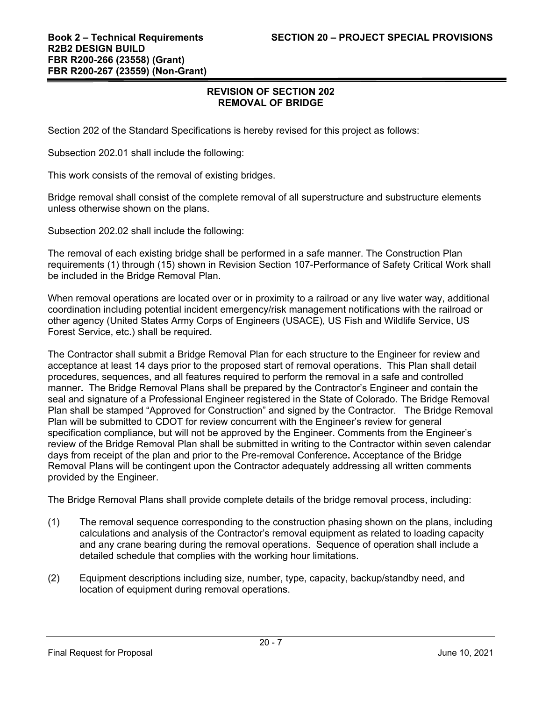Section 202 of the Standard Specifications is hereby revised for this project as follows:

Subsection 202.01 shall include the following:

This work consists of the removal of existing bridges.

Bridge removal shall consist of the complete removal of all superstructure and substructure elements unless otherwise shown on the plans.

Subsection 202.02 shall include the following:

The removal of each existing bridge shall be performed in a safe manner. The Construction Plan requirements (1) through (15) shown in Revision Section 107-Performance of Safety Critical Work shall be included in the Bridge Removal Plan.

When removal operations are located over or in proximity to a railroad or any live water way, additional coordination including potential incident emergency/risk management notifications with the railroad or other agency (United States Army Corps of Engineers (USACE), US Fish and Wildlife Service, US Forest Service, etc.) shall be required.

The Contractor shall submit a Bridge Removal Plan for each structure to the Engineer for review and acceptance at least 14 days prior to the proposed start of removal operations. This Plan shall detail procedures, sequences, and all features required to perform the removal in a safe and controlled manner**.** The Bridge Removal Plans shall be prepared by the Contractor's Engineer and contain the seal and signature of a Professional Engineer registered in the State of Colorado. The Bridge Removal Plan shall be stamped "Approved for Construction" and signed by the Contractor. The Bridge Removal Plan will be submitted to CDOT for review concurrent with the Engineer's review for general specification compliance, but will not be approved by the Engineer. Comments from the Engineer's review of the Bridge Removal Plan shall be submitted in writing to the Contractor within seven calendar days from receipt of the plan and prior to the Pre-removal Conference**.** Acceptance of the Bridge Removal Plans will be contingent upon the Contractor adequately addressing all written comments provided by the Engineer.

The Bridge Removal Plans shall provide complete details of the bridge removal process, including:

- (1) The removal sequence corresponding to the construction phasing shown on the plans, including calculations and analysis of the Contractor's removal equipment as related to loading capacity and any crane bearing during the removal operations. Sequence of operation shall include a detailed schedule that complies with the working hour limitations.
- (2) Equipment descriptions including size, number, type, capacity, backup/standby need, and location of equipment during removal operations.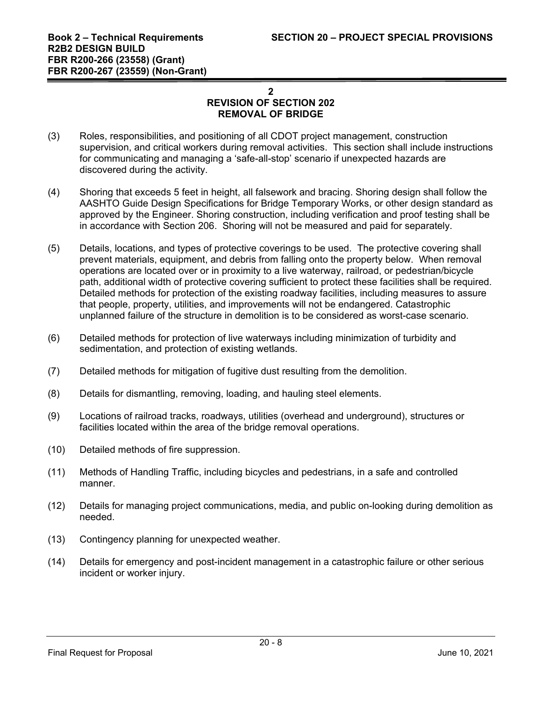- (3) Roles, responsibilities, and positioning of all CDOT project management, construction supervision, and critical workers during removal activities. This section shall include instructions for communicating and managing a 'safe-all-stop' scenario if unexpected hazards are discovered during the activity.
- (4) Shoring that exceeds 5 feet in height, all falsework and bracing. Shoring design shall follow the AASHTO Guide Design Specifications for Bridge Temporary Works, or other design standard as approved by the Engineer. Shoring construction, including verification and proof testing shall be in accordance with Section 206. Shoring will not be measured and paid for separately.
- (5) Details, locations, and types of protective coverings to be used. The protective covering shall prevent materials, equipment, and debris from falling onto the property below. When removal operations are located over or in proximity to a live waterway, railroad, or pedestrian/bicycle path, additional width of protective covering sufficient to protect these facilities shall be required. Detailed methods for protection of the existing roadway facilities, including measures to assure that people, property, utilities, and improvements will not be endangered. Catastrophic unplanned failure of the structure in demolition is to be considered as worst-case scenario.
- (6) Detailed methods for protection of live waterways including minimization of turbidity and sedimentation, and protection of existing wetlands.
- (7) Detailed methods for mitigation of fugitive dust resulting from the demolition.
- (8) Details for dismantling, removing, loading, and hauling steel elements.
- (9) Locations of railroad tracks, roadways, utilities (overhead and underground), structures or facilities located within the area of the bridge removal operations.
- (10) Detailed methods of fire suppression.
- (11) Methods of Handling Traffic, including bicycles and pedestrians, in a safe and controlled manner.
- (12) Details for managing project communications, media, and public on-looking during demolition as needed.
- (13) Contingency planning for unexpected weather.
- (14) Details for emergency and post-incident management in a catastrophic failure or other serious incident or worker injury.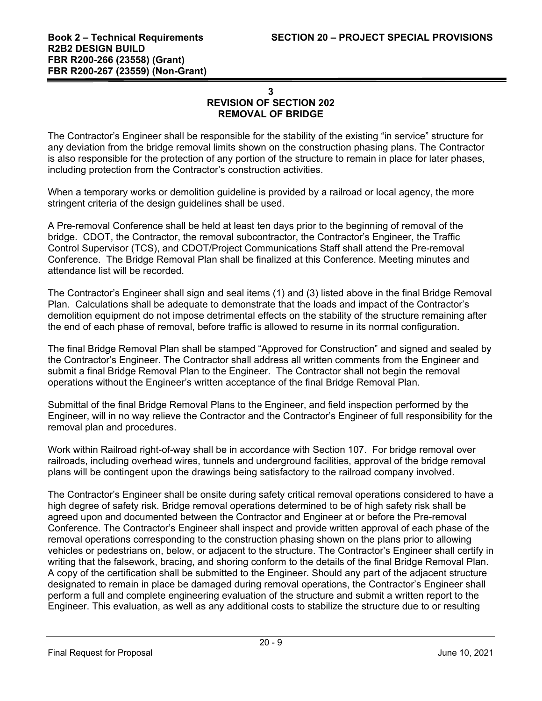The Contractor's Engineer shall be responsible for the stability of the existing "in service" structure for any deviation from the bridge removal limits shown on the construction phasing plans. The Contractor is also responsible for the protection of any portion of the structure to remain in place for later phases, including protection from the Contractor's construction activities.

When a temporary works or demolition guideline is provided by a railroad or local agency, the more stringent criteria of the design guidelines shall be used.

A Pre-removal Conference shall be held at least ten days prior to the beginning of removal of the bridge. CDOT, the Contractor, the removal subcontractor, the Contractor's Engineer, the Traffic Control Supervisor (TCS), and CDOT/Project Communications Staff shall attend the Pre-removal Conference. The Bridge Removal Plan shall be finalized at this Conference. Meeting minutes and attendance list will be recorded.

The Contractor's Engineer shall sign and seal items (1) and (3) listed above in the final Bridge Removal Plan. Calculations shall be adequate to demonstrate that the loads and impact of the Contractor's demolition equipment do not impose detrimental effects on the stability of the structure remaining after the end of each phase of removal, before traffic is allowed to resume in its normal configuration.

The final Bridge Removal Plan shall be stamped "Approved for Construction" and signed and sealed by the Contractor's Engineer. The Contractor shall address all written comments from the Engineer and submit a final Bridge Removal Plan to the Engineer. The Contractor shall not begin the removal operations without the Engineer's written acceptance of the final Bridge Removal Plan.

Submittal of the final Bridge Removal Plans to the Engineer, and field inspection performed by the Engineer, will in no way relieve the Contractor and the Contractor's Engineer of full responsibility for the removal plan and procedures.

Work within Railroad right-of-way shall be in accordance with Section 107. For bridge removal over railroads, including overhead wires, tunnels and underground facilities, approval of the bridge removal plans will be contingent upon the drawings being satisfactory to the railroad company involved.

The Contractor's Engineer shall be onsite during safety critical removal operations considered to have a high degree of safety risk. Bridge removal operations determined to be of high safety risk shall be agreed upon and documented between the Contractor and Engineer at or before the Pre-removal Conference. The Contractor's Engineer shall inspect and provide written approval of each phase of the removal operations corresponding to the construction phasing shown on the plans prior to allowing vehicles or pedestrians on, below, or adjacent to the structure. The Contractor's Engineer shall certify in writing that the falsework, bracing, and shoring conform to the details of the final Bridge Removal Plan. A copy of the certification shall be submitted to the Engineer. Should any part of the adjacent structure designated to remain in place be damaged during removal operations, the Contractor's Engineer shall perform a full and complete engineering evaluation of the structure and submit a written report to the Engineer. This evaluation, as well as any additional costs to stabilize the structure due to or resulting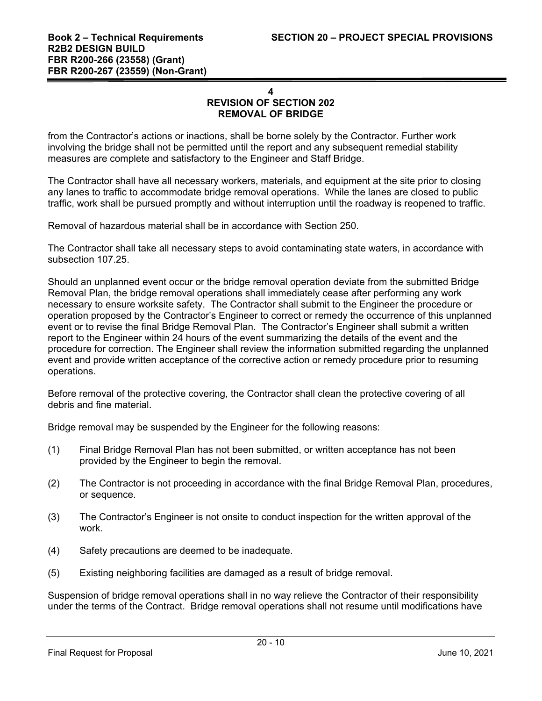from the Contractor's actions or inactions, shall be borne solely by the Contractor. Further work involving the bridge shall not be permitted until the report and any subsequent remedial stability measures are complete and satisfactory to the Engineer and Staff Bridge.

The Contractor shall have all necessary workers, materials, and equipment at the site prior to closing any lanes to traffic to accommodate bridge removal operations. While the lanes are closed to public traffic, work shall be pursued promptly and without interruption until the roadway is reopened to traffic.

Removal of hazardous material shall be in accordance with Section 250.

The Contractor shall take all necessary steps to avoid contaminating state waters, in accordance with subsection 107.25.

Should an unplanned event occur or the bridge removal operation deviate from the submitted Bridge Removal Plan, the bridge removal operations shall immediately cease after performing any work necessary to ensure worksite safety. The Contractor shall submit to the Engineer the procedure or operation proposed by the Contractor's Engineer to correct or remedy the occurrence of this unplanned event or to revise the final Bridge Removal Plan. The Contractor's Engineer shall submit a written report to the Engineer within 24 hours of the event summarizing the details of the event and the procedure for correction. The Engineer shall review the information submitted regarding the unplanned event and provide written acceptance of the corrective action or remedy procedure prior to resuming operations.

Before removal of the protective covering, the Contractor shall clean the protective covering of all debris and fine material.

Bridge removal may be suspended by the Engineer for the following reasons:

- (1) Final Bridge Removal Plan has not been submitted, or written acceptance has not been provided by the Engineer to begin the removal.
- (2) The Contractor is not proceeding in accordance with the final Bridge Removal Plan, procedures, or sequence.
- (3) The Contractor's Engineer is not onsite to conduct inspection for the written approval of the work.
- (4) Safety precautions are deemed to be inadequate.
- (5) Existing neighboring facilities are damaged as a result of bridge removal.

Suspension of bridge removal operations shall in no way relieve the Contractor of their responsibility under the terms of the Contract. Bridge removal operations shall not resume until modifications have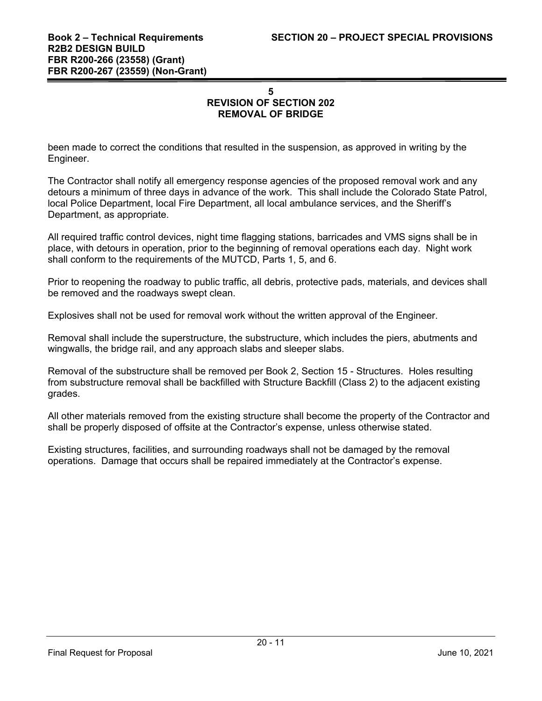been made to correct the conditions that resulted in the suspension, as approved in writing by the Engineer.

The Contractor shall notify all emergency response agencies of the proposed removal work and any detours a minimum of three days in advance of the work. This shall include the Colorado State Patrol, local Police Department, local Fire Department, all local ambulance services, and the Sheriff's Department, as appropriate.

All required traffic control devices, night time flagging stations, barricades and VMS signs shall be in place, with detours in operation, prior to the beginning of removal operations each day. Night work shall conform to the requirements of the MUTCD, Parts 1, 5, and 6.

Prior to reopening the roadway to public traffic, all debris, protective pads, materials, and devices shall be removed and the roadways swept clean.

Explosives shall not be used for removal work without the written approval of the Engineer.

Removal shall include the superstructure, the substructure, which includes the piers, abutments and wingwalls, the bridge rail, and any approach slabs and sleeper slabs.

Removal of the substructure shall be removed per Book 2, Section 15 - Structures. Holes resulting from substructure removal shall be backfilled with Structure Backfill (Class 2) to the adjacent existing grades.

All other materials removed from the existing structure shall become the property of the Contractor and shall be properly disposed of offsite at the Contractor's expense, unless otherwise stated.

Existing structures, facilities, and surrounding roadways shall not be damaged by the removal operations. Damage that occurs shall be repaired immediately at the Contractor's expense.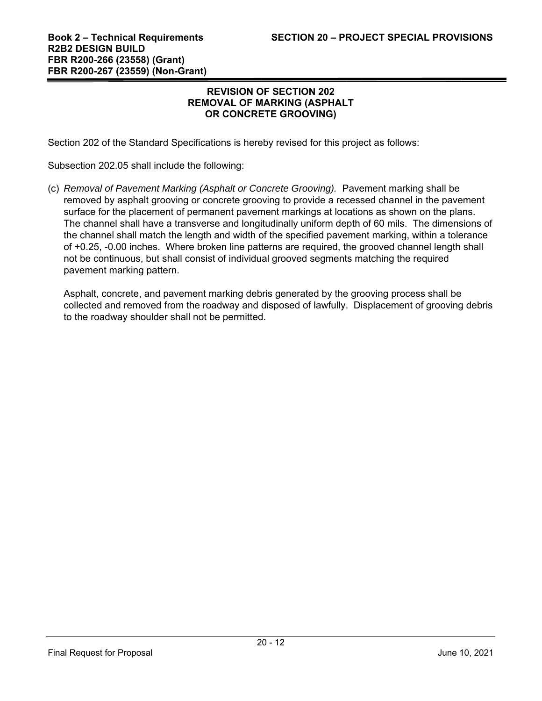#### **REVISION OF SECTION 202 REMOVAL OF MARKING (ASPHALT OR CONCRETE GROOVING)**

Section 202 of the Standard Specifications is hereby revised for this project as follows:

Subsection 202.05 shall include the following:

(c) *Removal of Pavement Marking (Asphalt or Concrete Grooving).* Pavement marking shall be removed by asphalt grooving or concrete grooving to provide a recessed channel in the pavement surface for the placement of permanent pavement markings at locations as shown on the plans. The channel shall have a transverse and longitudinally uniform depth of 60 mils. The dimensions of the channel shall match the length and width of the specified pavement marking, within a tolerance of +0.25, -0.00 inches. Where broken line patterns are required, the grooved channel length shall not be continuous, but shall consist of individual grooved segments matching the required pavement marking pattern.

Asphalt, concrete, and pavement marking debris generated by the grooving process shall be collected and removed from the roadway and disposed of lawfully. Displacement of grooving debris to the roadway shoulder shall not be permitted.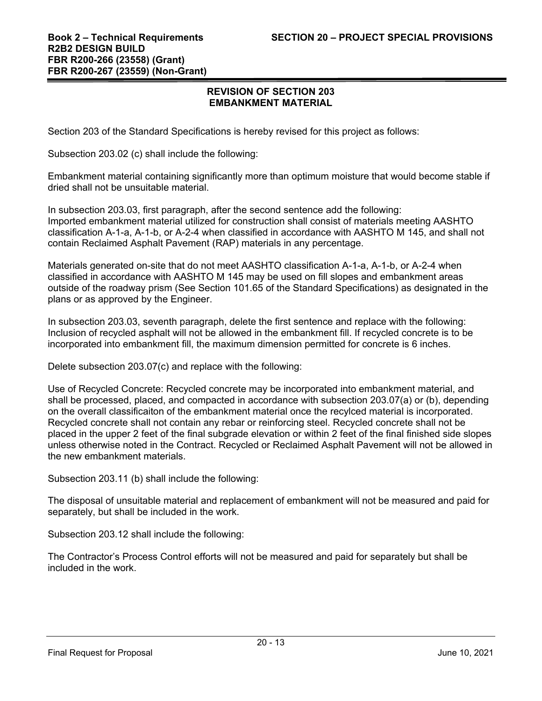#### **REVISION OF SECTION 203 EMBANKMENT MATERIAL**

Section 203 of the Standard Specifications is hereby revised for this project as follows:

Subsection 203.02 (c) shall include the following:

Embankment material containing significantly more than optimum moisture that would become stable if dried shall not be unsuitable material.

In subsection 203.03, first paragraph, after the second sentence add the following: Imported embankment material utilized for construction shall consist of materials meeting AASHTO classification A-1-a, A-1-b, or A-2-4 when classified in accordance with AASHTO M 145, and shall not contain Reclaimed Asphalt Pavement (RAP) materials in any percentage.

Materials generated on-site that do not meet AASHTO classification A-1-a, A-1-b, or A-2-4 when classified in accordance with AASHTO M 145 may be used on fill slopes and embankment areas outside of the roadway prism (See Section 101.65 of the Standard Specifications) as designated in the plans or as approved by the Engineer.

In subsection 203.03, seventh paragraph, delete the first sentence and replace with the following: Inclusion of recycled asphalt will not be allowed in the embankment fill. If recycled concrete is to be incorporated into embankment fill, the maximum dimension permitted for concrete is 6 inches.

Delete subsection 203.07(c) and replace with the following:

Use of Recycled Concrete: Recycled concrete may be incorporated into embankment material, and shall be processed, placed, and compacted in accordance with subsection 203.07(a) or (b), depending on the overall classificaiton of the embankment material once the recylced material is incorporated. Recycled concrete shall not contain any rebar or reinforcing steel. Recycled concrete shall not be placed in the upper 2 feet of the final subgrade elevation or within 2 feet of the final finished side slopes unless otherwise noted in the Contract. Recycled or Reclaimed Asphalt Pavement will not be allowed in the new embankment materials.

Subsection 203.11 (b) shall include the following:

The disposal of unsuitable material and replacement of embankment will not be measured and paid for separately, but shall be included in the work.

Subsection 203.12 shall include the following:

The Contractor's Process Control efforts will not be measured and paid for separately but shall be included in the work.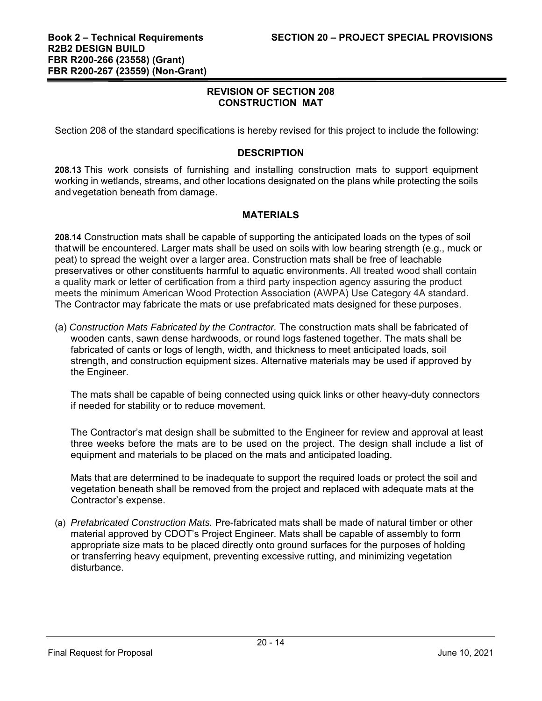Section 208 of the standard specifications is hereby revised for this project to include the following:

#### **DESCRIPTION**

**208.13** This work consists of furnishing and installing construction mats to support equipment working in wetlands, streams, and other locations designated on the plans while protecting the soils and vegetation beneath from damage.

## **MATERIALS**

**208.14** Construction mats shall be capable of supporting the anticipated loads on the types of soil that will be encountered. Larger mats shall be used on soils with low bearing strength (e.g., muck or peat) to spread the weight over a larger area. Construction mats shall be free of leachable preservatives or other constituents harmful to aquatic environments. All treated wood shall contain a quality mark or letter of certification from a third party inspection agency assuring the product meets the minimum American Wood Protection Association (AWPA) Use Category 4A standard. The Contractor may fabricate the mats or use prefabricated mats designed for these purposes.

(a) *Construction Mats Fabricated by the Contractor.* The construction mats shall be fabricated of wooden cants, sawn dense hardwoods, or round logs fastened together. The mats shall be fabricated of cants or logs of length, width, and thickness to meet anticipated loads, soil strength, and construction equipment sizes. Alternative materials may be used if approved by the Engineer.

The mats shall be capable of being connected using quick links or other heavy-duty connectors if needed for stability or to reduce movement.

The Contractor's mat design shall be submitted to the Engineer for review and approval at least three weeks before the mats are to be used on the project. The design shall include a list of equipment and materials to be placed on the mats and anticipated loading.

Mats that are determined to be inadequate to support the required loads or protect the soil and vegetation beneath shall be removed from the project and replaced with adequate mats at the Contractor's expense.

(a) *Prefabricated Construction Mats.* Pre-fabricated mats shall be made of natural timber or other material approved by CDOT's Project Engineer. Mats shall be capable of assembly to form appropriate size mats to be placed directly onto ground surfaces for the purposes of holding or transferring heavy equipment, preventing excessive rutting, and minimizing vegetation disturbance.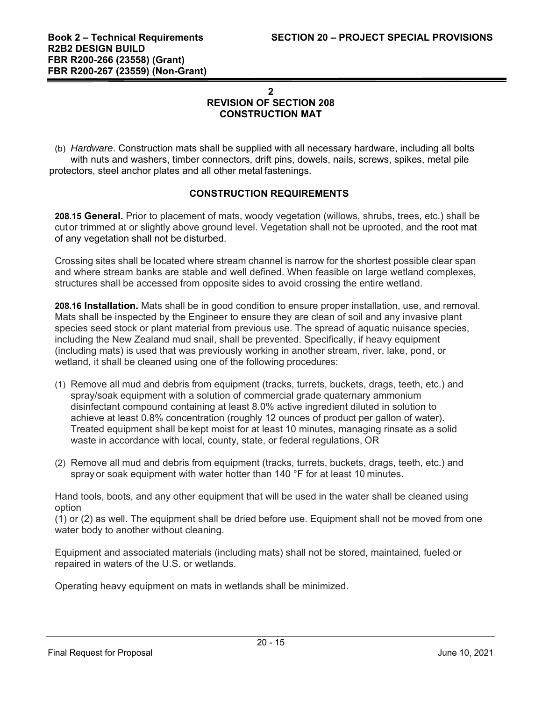(b) *Hardware*. Construction mats shall be supplied with all necessary hardware, including all bolts with nuts and washers, timber connectors, drift pins, dowels, nails, screws, spikes, metal pile protectors, steel anchor plates and all other metal fastenings.

## **CONSTRUCTION REQUIREMENTS**

**208.15 General.** Prior to placement of mats, woody vegetation (willows, shrubs, trees, etc.) shall be cut or trimmed at or slightly above ground level. Vegetation shall not be uprooted, and the root mat of any vegetation shall not be disturbed.

Crossing sites shall be located where stream channel is narrow for the shortest possible clear span and where stream banks are stable and well defined. When feasible on large wetland complexes, structures shall be accessed from opposite sides to avoid crossing the entire wetland.

**208.16 Installation.** Mats shall be in good condition to ensure proper installation, use, and removal. Mats shall be inspected by the Engineer to ensure they are clean of soil and any invasive plant species seed stock or plant material from previous use. The spread of aquatic nuisance species, including the New Zealand mud snail, shall be prevented. Specifically, if heavy equipment (including mats) is used that was previously working in another stream, river, lake, pond, or wetland, it shall be cleaned using one of the following procedures:

- (1) Remove all mud and debris from equipment (tracks, turrets, buckets, drags, teeth, etc.) and spray/soak equipment with a solution of commercial grade quaternary ammonium disinfectant compound containing at least 8.0% active ingredient diluted in solution to achieve at least 0.8% concentration (roughly 12 ounces of product per gallon of water). Treated equipment shall be kept moist for at least 10 minutes, managing rinsate as a solid waste in accordance with local, county, state, or federal regulations, OR
- (2) Remove all mud and debris from equipment (tracks, turrets, buckets, drags, teeth, etc.) and spray or soak equipment with water hotter than 140 °F for at least 10 minutes.

Hand tools, boots, and any other equipment that will be used in the water shall be cleaned using option

(1) or (2) as well. The equipment shall be dried before use. Equipment shall not be moved from one water body to another without cleaning.

Equipment and associated materials (including mats) shall not be stored, maintained, fueled or repaired in waters of the U.S. or wetlands.

Operating heavy equipment on mats in wetlands shall be minimized.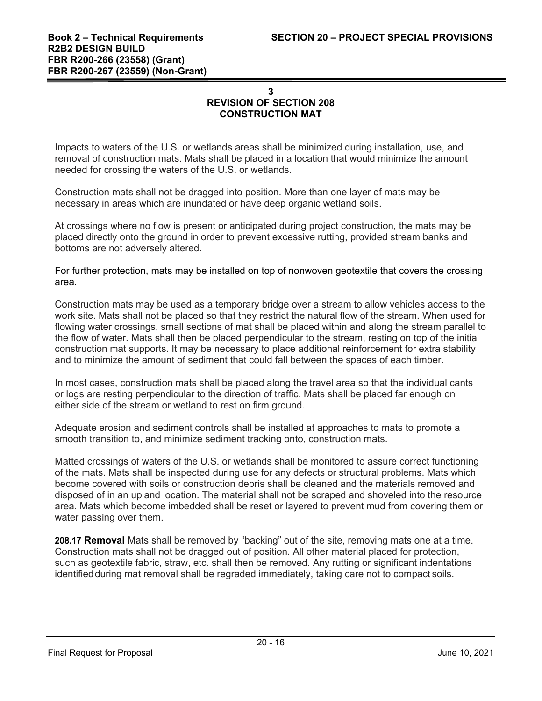Impacts to waters of the U.S. or wetlands areas shall be minimized during installation, use, and removal of construction mats. Mats shall be placed in a location that would minimize the amount needed for crossing the waters of the U.S. or wetlands.

Construction mats shall not be dragged into position. More than one layer of mats may be necessary in areas which are inundated or have deep organic wetland soils.

At crossings where no flow is present or anticipated during project construction, the mats may be placed directly onto the ground in order to prevent excessive rutting, provided stream banks and bottoms are not adversely altered.

For further protection, mats may be installed on top of nonwoven geotextile that covers the crossing area.

Construction mats may be used as a temporary bridge over a stream to allow vehicles access to the work site. Mats shall not be placed so that they restrict the natural flow of the stream. When used for flowing water crossings, small sections of mat shall be placed within and along the stream parallel to the flow of water. Mats shall then be placed perpendicular to the stream, resting on top of the initial construction mat supports. It may be necessary to place additional reinforcement for extra stability and to minimize the amount of sediment that could fall between the spaces of each timber.

In most cases, construction mats shall be placed along the travel area so that the individual cants or logs are resting perpendicular to the direction of traffic. Mats shall be placed far enough on either side of the stream or wetland to rest on firm ground.

Adequate erosion and sediment controls shall be installed at approaches to mats to promote a smooth transition to, and minimize sediment tracking onto, construction mats.

Matted crossings of waters of the U.S. or wetlands shall be monitored to assure correct functioning of the mats. Mats shall be inspected during use for any defects or structural problems. Mats which become covered with soils or construction debris shall be cleaned and the materials removed and disposed of in an upland location. The material shall not be scraped and shoveled into the resource area. Mats which become imbedded shall be reset or layered to prevent mud from covering them or water passing over them.

**208.17 Removal** Mats shall be removed by "backing" out of the site, removing mats one at a time. Construction mats shall not be dragged out of position. All other material placed for protection, such as geotextile fabric, straw, etc. shall then be removed. Any rutting or significant indentations identified during mat removal shall be regraded immediately, taking care not to compact soils.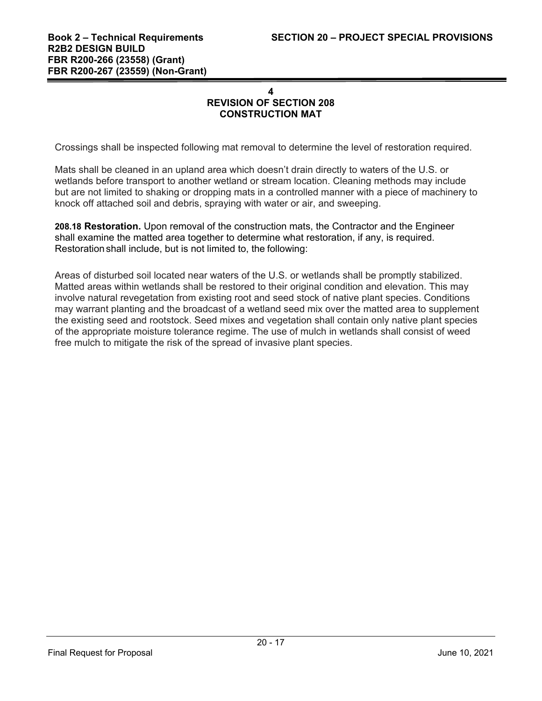Crossings shall be inspected following mat removal to determine the level of restoration required.

Mats shall be cleaned in an upland area which doesn't drain directly to waters of the U.S. or wetlands before transport to another wetland or stream location. Cleaning methods may include but are not limited to shaking or dropping mats in a controlled manner with a piece of machinery to knock off attached soil and debris, spraying with water or air, and sweeping.

**208.18 Restoration.** Upon removal of the construction mats, the Contractor and the Engineer shall examine the matted area together to determine what restoration, if any, is required. Restoration shall include, but is not limited to, the following:

Areas of disturbed soil located near waters of the U.S. or wetlands shall be promptly stabilized. Matted areas within wetlands shall be restored to their original condition and elevation. This may involve natural revegetation from existing root and seed stock of native plant species. Conditions may warrant planting and the broadcast of a wetland seed mix over the matted area to supplement the existing seed and rootstock. Seed mixes and vegetation shall contain only native plant species of the appropriate moisture tolerance regime. The use of mulch in wetlands shall consist of weed free mulch to mitigate the risk of the spread of invasive plant species.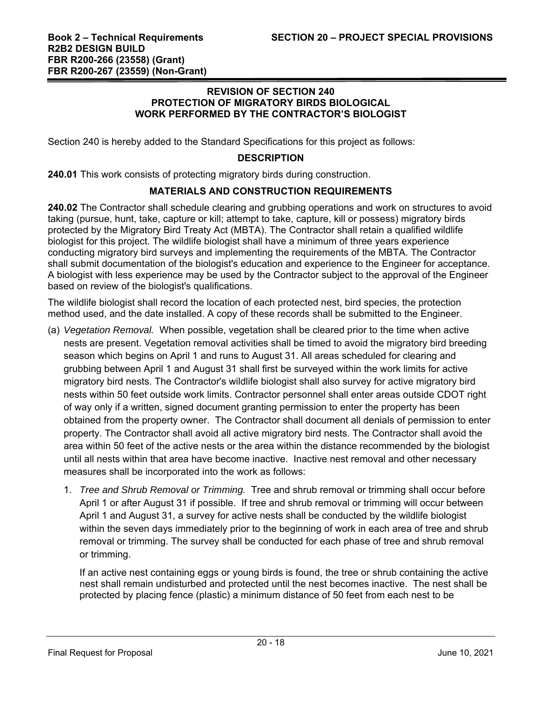#### **REVISION OF SECTION 240 PROTECTION OF MIGRATORY BIRDS BIOLOGICAL WORK PERFORMED BY THE CONTRACTOR'S BIOLOGIST**

Section 240 is hereby added to the Standard Specifications for this project as follows:

## **DESCRIPTION**

**240.01** This work consists of protecting migratory birds during construction.

## **MATERIALS AND CONSTRUCTION REQUIREMENTS**

**240.02** The Contractor shall schedule clearing and grubbing operations and work on structures to avoid taking (pursue, hunt, take, capture or kill; attempt to take, capture, kill or possess) migratory birds protected by the Migratory Bird Treaty Act (MBTA). The Contractor shall retain a qualified wildlife biologist for this project. The wildlife biologist shall have a minimum of three years experience conducting migratory bird surveys and implementing the requirements of the MBTA. The Contractor shall submit documentation of the biologist's education and experience to the Engineer for acceptance. A biologist with less experience may be used by the Contractor subject to the approval of the Engineer based on review of the biologist's qualifications.

The wildlife biologist shall record the location of each protected nest, bird species, the protection method used, and the date installed. A copy of these records shall be submitted to the Engineer.

- (a) *Vegetation Removal.* When possible, vegetation shall be cleared prior to the time when active nests are present. Vegetation removal activities shall be timed to avoid the migratory bird breeding season which begins on April 1 and runs to August 31. All areas scheduled for clearing and grubbing between April 1 and August 31 shall first be surveyed within the work limits for active migratory bird nests. The Contractor's wildlife biologist shall also survey for active migratory bird nests within 50 feet outside work limits. Contractor personnel shall enter areas outside CDOT right of way only if a written, signed document granting permission to enter the property has been obtained from the property owner. The Contractor shall document all denials of permission to enter property. The Contractor shall avoid all active migratory bird nests. The Contractor shall avoid the area within 50 feet of the active nests or the area within the distance recommended by the biologist until all nests within that area have become inactive. Inactive nest removal and other necessary measures shall be incorporated into the work as follows:
	- 1. *Tree and Shrub Removal or Trimming.* Tree and shrub removal or trimming shall occur before April 1 or after August 31 if possible. If tree and shrub removal or trimming will occur between April 1 and August 31, a survey for active nests shall be conducted by the wildlife biologist within the seven days immediately prior to the beginning of work in each area of tree and shrub removal or trimming. The survey shall be conducted for each phase of tree and shrub removal or trimming.

If an active nest containing eggs or young birds is found, the tree or shrub containing the active nest shall remain undisturbed and protected until the nest becomes inactive. The nest shall be protected by placing fence (plastic) a minimum distance of 50 feet from each nest to be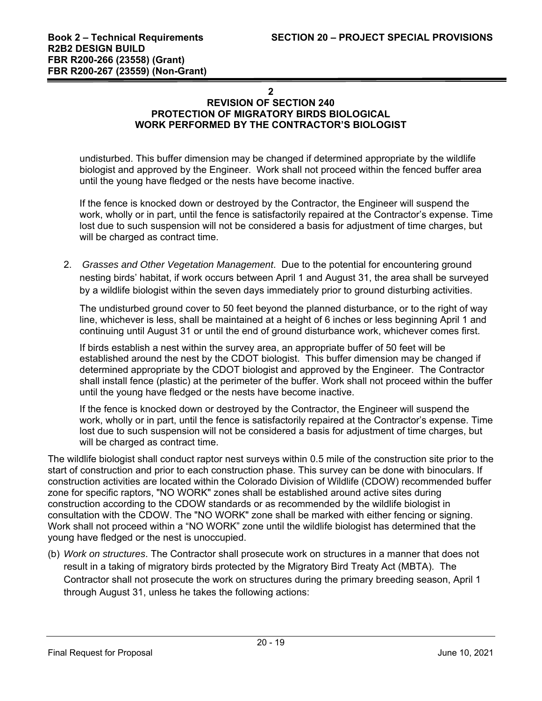**2** 

# **REVISION OF SECTION 240 PROTECTION OF MIGRATORY BIRDS BIOLOGICAL WORK PERFORMED BY THE CONTRACTOR'S BIOLOGIST**

undisturbed. This buffer dimension may be changed if determined appropriate by the wildlife biologist and approved by the Engineer. Work shall not proceed within the fenced buffer area until the young have fledged or the nests have become inactive.

If the fence is knocked down or destroyed by the Contractor, the Engineer will suspend the work, wholly or in part, until the fence is satisfactorily repaired at the Contractor's expense. Time lost due to such suspension will not be considered a basis for adjustment of time charges, but will be charged as contract time.

2. *Grasses and Other Vegetation Management*. Due to the potential for encountering ground nesting birds' habitat, if work occurs between April 1 and August 31, the area shall be surveyed by a wildlife biologist within the seven days immediately prior to ground disturbing activities.

The undisturbed ground cover to 50 feet beyond the planned disturbance, or to the right of way line, whichever is less, shall be maintained at a height of 6 inches or less beginning April 1 and continuing until August 31 or until the end of ground disturbance work, whichever comes first.

If birds establish a nest within the survey area, an appropriate buffer of 50 feet will be established around the nest by the CDOT biologist. This buffer dimension may be changed if determined appropriate by the CDOT biologist and approved by the Engineer. The Contractor shall install fence (plastic) at the perimeter of the buffer. Work shall not proceed within the buffer until the young have fledged or the nests have become inactive.

If the fence is knocked down or destroyed by the Contractor, the Engineer will suspend the work, wholly or in part, until the fence is satisfactorily repaired at the Contractor's expense. Time lost due to such suspension will not be considered a basis for adjustment of time charges, but will be charged as contract time.

The wildlife biologist shall conduct raptor nest surveys within 0.5 mile of the construction site prior to the start of construction and prior to each construction phase. This survey can be done with binoculars. If construction activities are located within the Colorado Division of Wildlife (CDOW) recommended buffer zone for specific raptors, "NO WORK" zones shall be established around active sites during construction according to the CDOW standards or as recommended by the wildlife biologist in consultation with the CDOW. The "NO WORK" zone shall be marked with either fencing or signing. Work shall not proceed within a "NO WORK" zone until the wildlife biologist has determined that the young have fledged or the nest is unoccupied.

(b) *Work on structures*. The Contractor shall prosecute work on structures in a manner that does not result in a taking of migratory birds protected by the Migratory Bird Treaty Act (MBTA). The Contractor shall not prosecute the work on structures during the primary breeding season, April 1 through August 31, unless he takes the following actions: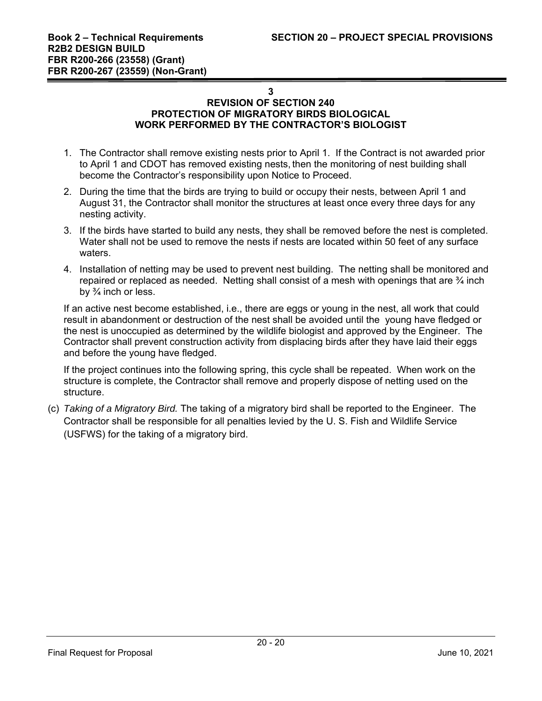#### **3**

#### **REVISION OF SECTION 240 PROTECTION OF MIGRATORY BIRDS BIOLOGICAL WORK PERFORMED BY THE CONTRACTOR'S BIOLOGIST**

- 1. The Contractor shall remove existing nests prior to April 1. If the Contract is not awarded prior to April 1 and CDOT has removed existing nests, then the monitoring of nest building shall become the Contractor's responsibility upon Notice to Proceed.
- 2. During the time that the birds are trying to build or occupy their nests, between April 1 and August 31, the Contractor shall monitor the structures at least once every three days for any nesting activity.
- 3. If the birds have started to build any nests, they shall be removed before the nest is completed. Water shall not be used to remove the nests if nests are located within 50 feet of any surface waters.
- 4. Installation of netting may be used to prevent nest building. The netting shall be monitored and repaired or replaced as needed. Netting shall consist of a mesh with openings that are  $\frac{3}{4}$  inch by  $\frac{3}{4}$  inch or less.

If an active nest become established, i.e., there are eggs or young in the nest, all work that could result in abandonment or destruction of the nest shall be avoided until the young have fledged or the nest is unoccupied as determined by the wildlife biologist and approved by the Engineer. The Contractor shall prevent construction activity from displacing birds after they have laid their eggs and before the young have fledged.

If the project continues into the following spring, this cycle shall be repeated. When work on the structure is complete, the Contractor shall remove and properly dispose of netting used on the structure.

(c) *Taking of a Migratory Bird.* The taking of a migratory bird shall be reported to the Engineer. The Contractor shall be responsible for all penalties levied by the U. S. Fish and Wildlife Service (USFWS) for the taking of a migratory bird.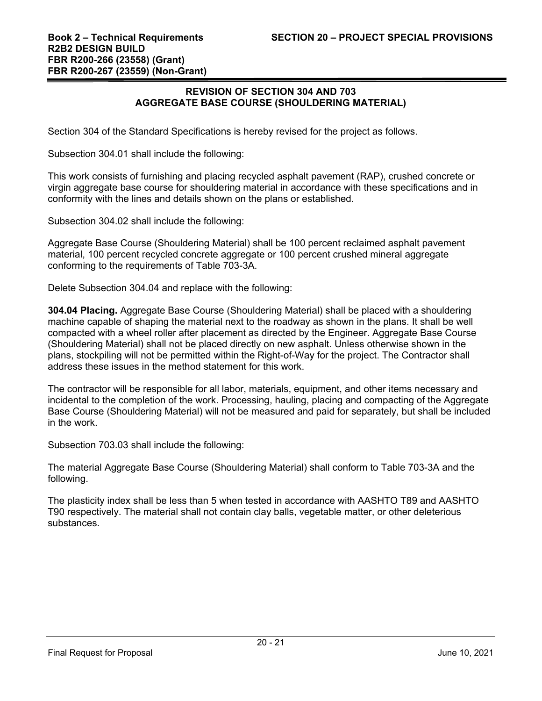#### **REVISION OF SECTION 304 AND 703 AGGREGATE BASE COURSE (SHOULDERING MATERIAL)**

Section 304 of the Standard Specifications is hereby revised for the project as follows.

Subsection 304.01 shall include the following:

This work consists of furnishing and placing recycled asphalt pavement (RAP), crushed concrete or virgin aggregate base course for shouldering material in accordance with these specifications and in conformity with the lines and details shown on the plans or established.

Subsection 304.02 shall include the following:

Aggregate Base Course (Shouldering Material) shall be 100 percent reclaimed asphalt pavement material, 100 percent recycled concrete aggregate or 100 percent crushed mineral aggregate conforming to the requirements of Table 703-3A.

Delete Subsection 304.04 and replace with the following:

**304.04 Placing.** Aggregate Base Course (Shouldering Material) shall be placed with a shouldering machine capable of shaping the material next to the roadway as shown in the plans. It shall be well compacted with a wheel roller after placement as directed by the Engineer. Aggregate Base Course (Shouldering Material) shall not be placed directly on new asphalt. Unless otherwise shown in the plans, stockpiling will not be permitted within the Right-of-Way for the project. The Contractor shall address these issues in the method statement for this work.

The contractor will be responsible for all labor, materials, equipment, and other items necessary and incidental to the completion of the work. Processing, hauling, placing and compacting of the Aggregate Base Course (Shouldering Material) will not be measured and paid for separately, but shall be included in the work.

Subsection 703.03 shall include the following:

The material Aggregate Base Course (Shouldering Material) shall conform to Table 703-3A and the following.

The plasticity index shall be less than 5 when tested in accordance with AASHTO T89 and AASHTO T90 respectively. The material shall not contain clay balls, vegetable matter, or other deleterious substances.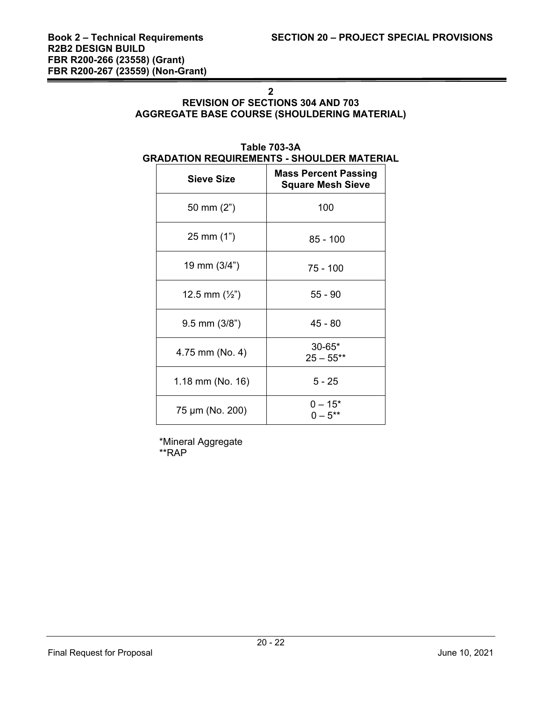# **2**

## **REVISION OF SECTIONS 304 AND 703 AGGREGATE BASE COURSE (SHOULDERING MATERIAL)**

#### **Table 703-3A GRADATION REQUIREMENTS - SHOULDER MATERIAL**

| <b>Sieve Size</b>       | <b>Mass Percent Passing</b><br><b>Square Mesh Sieve</b> |  |  |  |
|-------------------------|---------------------------------------------------------|--|--|--|
| 50 mm $(2")$            | 100                                                     |  |  |  |
| $25 \text{ mm} (1")$    | $85 - 100$                                              |  |  |  |
| 19 mm (3/4")            | $75 - 100$                                              |  |  |  |
| 12.5 mm $(\frac{1}{2})$ | $55 - 90$                                               |  |  |  |
| $9.5$ mm $(3/8")$       | $45 - 80$                                               |  |  |  |
| 4.75 mm (No. 4)         | $30 - 65*$<br>$25 - 55**$                               |  |  |  |
| 1.18 mm (No. 16)        | $5 - 25$                                                |  |  |  |
| 75 µm (No. 200)         | $0 - 15*$<br>$0 - 5^{**}$                               |  |  |  |

 \*Mineral Aggregate \*\*RAP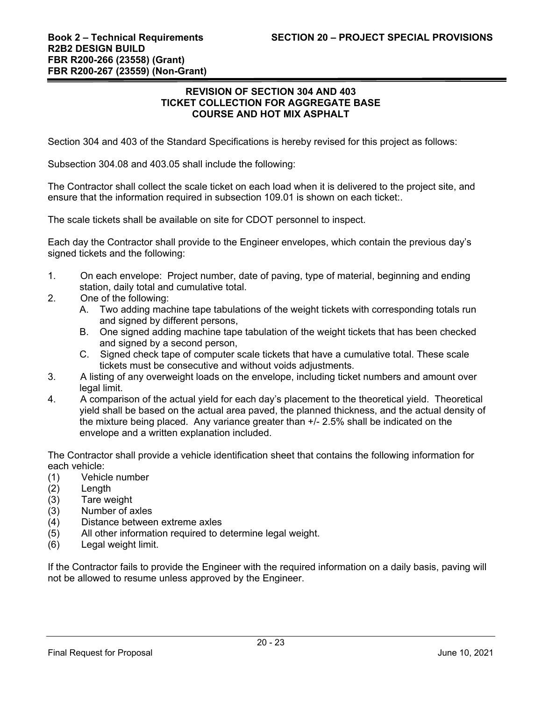#### **REVISION OF SECTION 304 AND 403 TICKET COLLECTION FOR AGGREGATE BASE COURSE AND HOT MIX ASPHALT**

Section 304 and 403 of the Standard Specifications is hereby revised for this project as follows:

Subsection 304.08 and 403.05 shall include the following:

The Contractor shall collect the scale ticket on each load when it is delivered to the project site, and ensure that the information required in subsection 109.01 is shown on each ticket:.

The scale tickets shall be available on site for CDOT personnel to inspect.

Each day the Contractor shall provide to the Engineer envelopes, which contain the previous day's signed tickets and the following:

- 1. On each envelope: Project number, date of paving, type of material, beginning and ending station, daily total and cumulative total.
- 2. One of the following:
	- A. Two adding machine tape tabulations of the weight tickets with corresponding totals run and signed by different persons,
	- B. One signed adding machine tape tabulation of the weight tickets that has been checked and signed by a second person,
	- C. Signed check tape of computer scale tickets that have a cumulative total. These scale tickets must be consecutive and without voids adjustments.
- 3. A listing of any overweight loads on the envelope, including ticket numbers and amount over legal limit.
- 4. A comparison of the actual yield for each day's placement to the theoretical yield. Theoretical yield shall be based on the actual area paved, the planned thickness, and the actual density of the mixture being placed. Any variance greater than +/- 2.5% shall be indicated on the envelope and a written explanation included.

The Contractor shall provide a vehicle identification sheet that contains the following information for each vehicle:

- (1) Vehicle number
- (2) Length
- (3) Tare weight
- (3) Number of axles
- (4) Distance between extreme axles
- (5) All other information required to determine legal weight.
- (6) Legal weight limit.

If the Contractor fails to provide the Engineer with the required information on a daily basis, paving will not be allowed to resume unless approved by the Engineer.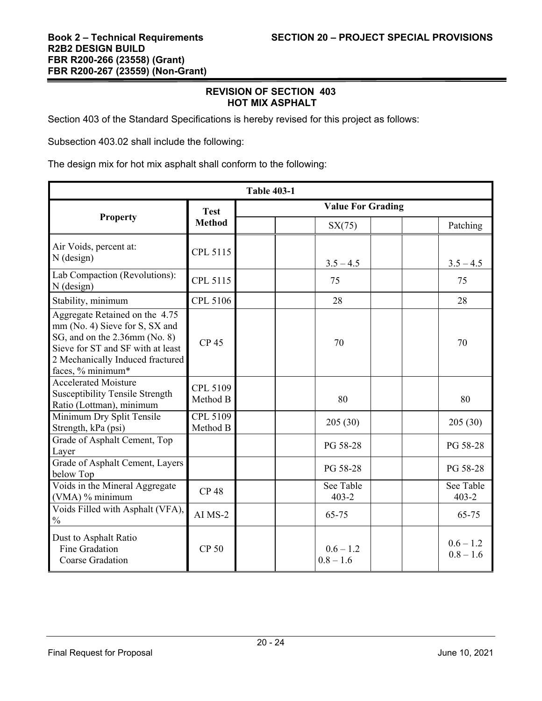#### **REVISION OF SECTION 403 HOT MIX ASPHALT**

Section 403 of the Standard Specifications is hereby revised for this project as follows:

Subsection 403.02 shall include the following:

The design mix for hot mix asphalt shall conform to the following:

| <b>Table 403-1</b>                                                                                                                                                                              |                      |                          |                            |  |                            |
|-------------------------------------------------------------------------------------------------------------------------------------------------------------------------------------------------|----------------------|--------------------------|----------------------------|--|----------------------------|
|                                                                                                                                                                                                 | <b>Test</b>          | <b>Value For Grading</b> |                            |  |                            |
| <b>Property</b>                                                                                                                                                                                 | <b>Method</b>        |                          | SX(75)                     |  | Patching                   |
| Air Voids, percent at:<br>$N$ (design)                                                                                                                                                          | CPL 5115             |                          | $3.5 - 4.5$                |  | $3.5 - 4.5$                |
| Lab Compaction (Revolutions):<br>$N$ (design)                                                                                                                                                   | CPL 5115             |                          | 75                         |  | 75                         |
| Stability, minimum                                                                                                                                                                              | CPL 5106             |                          | 28                         |  | 28                         |
| Aggregate Retained on the 4.75<br>mm (No. 4) Sieve for S, SX and<br>SG, and on the 2.36mm (No. 8)<br>Sieve for ST and SF with at least<br>2 Mechanically Induced fractured<br>faces, % minimum* | <b>CP45</b>          |                          | 70                         |  | 70                         |
| <b>Accelerated Moisture</b><br><b>Susceptibility Tensile Strength</b><br>Ratio (Lottman), minimum                                                                                               | CPL 5109<br>Method B |                          | 80                         |  | 80                         |
| Minimum Dry Split Tensile<br>Strength, kPa (psi)                                                                                                                                                | CPL 5109<br>Method B |                          | 205(30)                    |  | 205(30)                    |
| Grade of Asphalt Cement, Top<br>Layer                                                                                                                                                           |                      |                          | PG 58-28                   |  | PG 58-28                   |
| Grade of Asphalt Cement, Layers<br>below Top                                                                                                                                                    |                      |                          | PG 58-28                   |  | PG 58-28                   |
| Voids in the Mineral Aggregate<br>(VMA) % minimum                                                                                                                                               | <b>CP48</b>          |                          | See Table<br>$403 - 2$     |  | See Table<br>$403 - 2$     |
| Voids Filled with Asphalt (VFA),<br>$\frac{0}{0}$                                                                                                                                               | $AI$ $MS-2$          |                          | 65-75                      |  | 65-75                      |
| Dust to Asphalt Ratio<br>Fine Gradation<br>Coarse Gradation                                                                                                                                     | <b>CP 50</b>         |                          | $0.6 - 1.2$<br>$0.8 - 1.6$ |  | $0.6 - 1.2$<br>$0.8 - 1.6$ |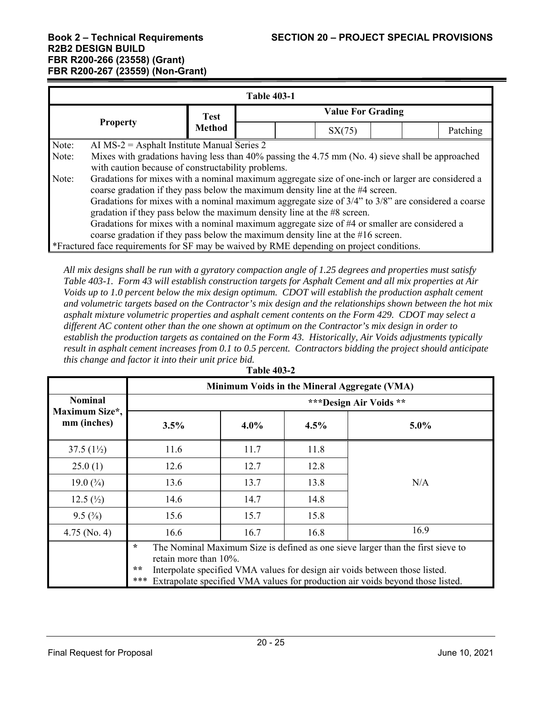| <b>Table 403-1</b>                                                                                                                                                                           |  |                              |                          |        |  |  |
|----------------------------------------------------------------------------------------------------------------------------------------------------------------------------------------------|--|------------------------------|--------------------------|--------|--|--|
|                                                                                                                                                                                              |  | <b>Test</b><br><b>Method</b> | <b>Value For Grading</b> |        |  |  |
| <b>Property</b>                                                                                                                                                                              |  |                              |                          | SX(75) |  |  |
| Note:<br>AI MS-2 = Asphalt Institute Manual Series 2                                                                                                                                         |  |                              |                          |        |  |  |
| Mixes with gradations having less than 40% passing the 4.75 mm (No. 4) sieve shall be approached<br>Note:<br>with caution because of constructability problems.                              |  |                              |                          |        |  |  |
| Gradations for mixes with a nominal maximum aggregate size of one-inch or larger are considered a<br>Note:<br>coarse gradation if they pass below the maximum density line at the #4 screen. |  |                              |                          |        |  |  |
| Gradations for mixes with a nominal maximum aggregate size of $3/4$ " to $3/8$ " are considered a coarse                                                                                     |  |                              |                          |        |  |  |
| gradation if they pass below the maximum density line at the #8 screen.                                                                                                                      |  |                              |                          |        |  |  |
| Gradations for mixes with a nominal maximum aggregate size of #4 or smaller are considered a                                                                                                 |  |                              |                          |        |  |  |
| coarse gradation if they pass below the maximum density line at the $#16$ screen.                                                                                                            |  |                              |                          |        |  |  |
| *Fractured face requirements for SF may be waived by RME depending on project conditions.                                                                                                    |  |                              |                          |        |  |  |

*All mix designs shall be run with a gyratory compaction angle of 1.25 degrees and properties must satisfy Table 403-1. Form 43 will establish construction targets for Asphalt Cement and all mix properties at Air Voids up to 1.0 percent below the mix design optimum. CDOT will establish the production asphalt cement and volumetric targets based on the Contractor's mix design and the relationships shown between the hot mix asphalt mixture volumetric properties and asphalt cement contents on the Form 429. CDOT may select a different AC content other than the one shown at optimum on the Contractor's mix design in order to establish the production targets as contained on the Form 43. Historically, Air Voids adjustments typically result in asphalt cement increases from 0.1 to 0.5 percent. Contractors bidding the project should anticipate this change and factor it into their unit price bid.* 

|                               | Minimum Voids in the Mineral Aggregate (VMA)                                                                                                                                                                                                                                                         |         |      |         |  |  |  |  |
|-------------------------------|------------------------------------------------------------------------------------------------------------------------------------------------------------------------------------------------------------------------------------------------------------------------------------------------------|---------|------|---------|--|--|--|--|
| <b>Nominal</b>                | *** Design Air Voids **                                                                                                                                                                                                                                                                              |         |      |         |  |  |  |  |
| Maximum Size*,<br>mm (inches) | 3.5%                                                                                                                                                                                                                                                                                                 | $4.0\%$ | 4.5% | $5.0\%$ |  |  |  |  |
| 37.5 $(1\frac{1}{2})$         | 11.6                                                                                                                                                                                                                                                                                                 | 11.7    | 11.8 |         |  |  |  |  |
| 25.0(1)                       | 12.6                                                                                                                                                                                                                                                                                                 | 12.7    | 12.8 |         |  |  |  |  |
| 19.0 $(\frac{3}{4})$          | 13.6                                                                                                                                                                                                                                                                                                 | 13.7    | 13.8 | N/A     |  |  |  |  |
| 12.5 $(\frac{1}{2})$          | 14.6                                                                                                                                                                                                                                                                                                 | 14.7    | 14.8 |         |  |  |  |  |
| $9.5\,(^{3}\%)$               | 15.6                                                                                                                                                                                                                                                                                                 | 15.7    | 15.8 |         |  |  |  |  |
| $4.75$ (No. 4)                | 16.6                                                                                                                                                                                                                                                                                                 | 16.7    | 16.8 | 16.9    |  |  |  |  |
|                               | $\ast$<br>The Nominal Maximum Size is defined as one sieve larger than the first sieve to<br>retain more than $10\%$ .<br>**<br>Interpolate specified VMA values for design air voids between those listed.<br>Extrapolate specified VMA values for production air voids beyond those listed.<br>*** |         |      |         |  |  |  |  |

**Table 403-2**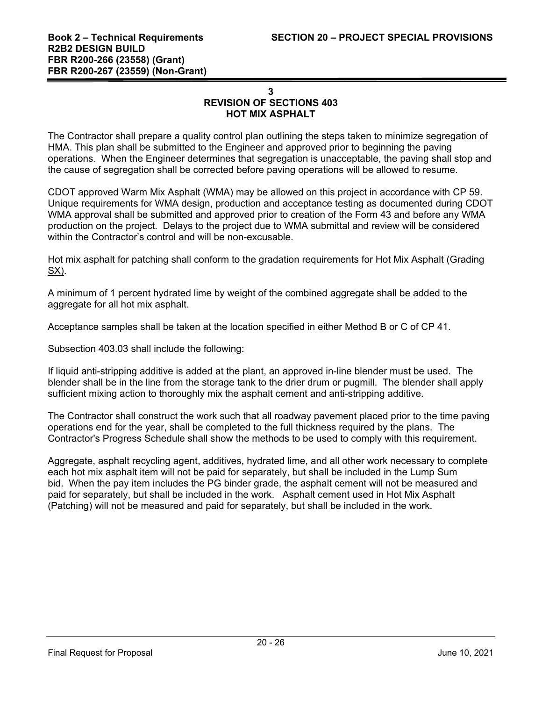## **3 REVISION OF SECTIONS 403 HOT MIX ASPHALT**

The Contractor shall prepare a quality control plan outlining the steps taken to minimize segregation of HMA. This plan shall be submitted to the Engineer and approved prior to beginning the paving operations. When the Engineer determines that segregation is unacceptable, the paving shall stop and the cause of segregation shall be corrected before paving operations will be allowed to resume.

CDOT approved Warm Mix Asphalt (WMA) may be allowed on this project in accordance with CP 59. Unique requirements for WMA design, production and acceptance testing as documented during CDOT WMA approval shall be submitted and approved prior to creation of the Form 43 and before any WMA production on the project. Delays to the project due to WMA submittal and review will be considered within the Contractor's control and will be non-excusable.

Hot mix asphalt for patching shall conform to the gradation requirements for Hot Mix Asphalt (Grading SX).

A minimum of 1 percent hydrated lime by weight of the combined aggregate shall be added to the aggregate for all hot mix asphalt.

Acceptance samples shall be taken at the location specified in either Method B or C of CP 41.

Subsection 403.03 shall include the following:

If liquid anti-stripping additive is added at the plant, an approved in-line blender must be used. The blender shall be in the line from the storage tank to the drier drum or pugmill. The blender shall apply sufficient mixing action to thoroughly mix the asphalt cement and anti-stripping additive.

The Contractor shall construct the work such that all roadway pavement placed prior to the time paving operations end for the year, shall be completed to the full thickness required by the plans. The Contractor's Progress Schedule shall show the methods to be used to comply with this requirement.

Aggregate, asphalt recycling agent, additives, hydrated lime, and all other work necessary to complete each hot mix asphalt item will not be paid for separately, but shall be included in the Lump Sum bid. When the pay item includes the PG binder grade, the asphalt cement will not be measured and paid for separately, but shall be included in the work. Asphalt cement used in Hot Mix Asphalt (Patching) will not be measured and paid for separately, but shall be included in the work.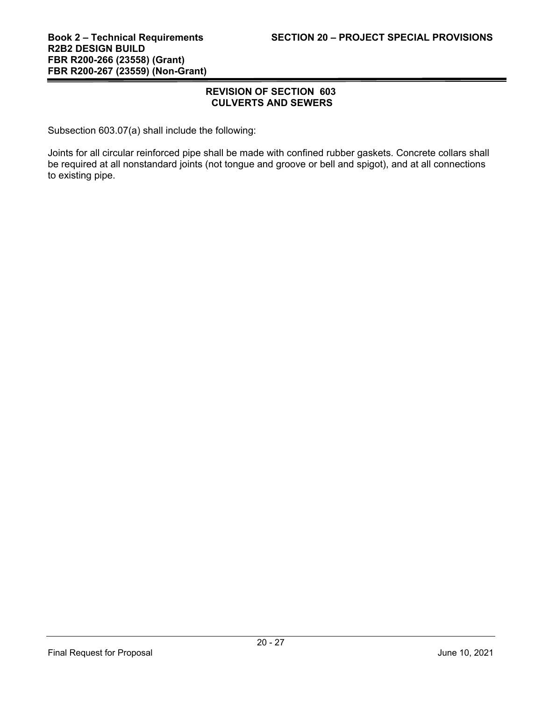## **REVISION OF SECTION 603 CULVERTS AND SEWERS**

Subsection 603.07(a) shall include the following:

Joints for all circular reinforced pipe shall be made with confined rubber gaskets. Concrete collars shall be required at all nonstandard joints (not tongue and groove or bell and spigot), and at all connections to existing pipe.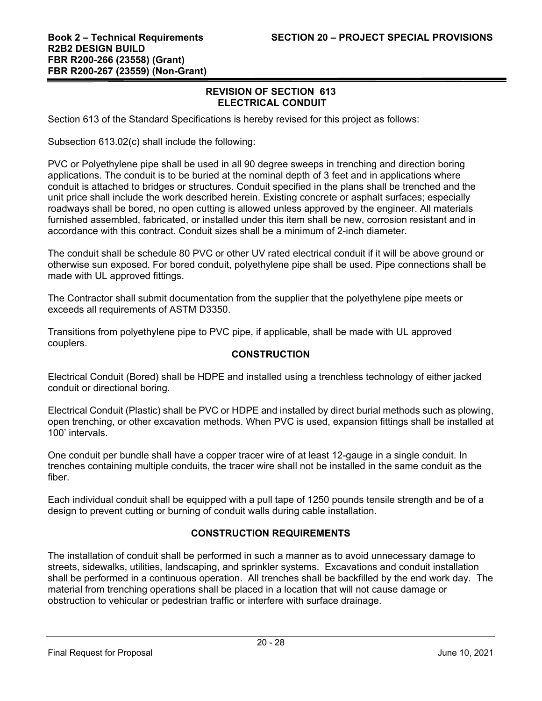## **REVISION OF SECTION 613 ELECTRICAL CONDUIT**

Section 613 of the Standard Specifications is hereby revised for this project as follows:

Subsection 613.02(c) shall include the following:

PVC or Polyethylene pipe shall be used in all 90 degree sweeps in trenching and direction boring applications. The conduit is to be buried at the nominal depth of 3 feet and in applications where conduit is attached to bridges or structures. Conduit specified in the plans shall be trenched and the unit price shall include the work described herein. Existing concrete or asphalt surfaces; especially roadways shall be bored, no open cutting is allowed unless approved by the engineer. All materials furnished assembled, fabricated, or installed under this item shall be new, corrosion resistant and in accordance with this contract. Conduit sizes shall be a minimum of 2-inch diameter.

The conduit shall be schedule 80 PVC or other UV rated electrical conduit if it will be above ground or otherwise sun exposed. For bored conduit, polyethylene pipe shall be used. Pipe connections shall be made with UL approved fittings.

The Contractor shall submit documentation from the supplier that the polyethylene pipe meets or exceeds all requirements of ASTM D3350.

Transitions from polyethylene pipe to PVC pipe, if applicable, shall be made with UL approved couplers.

# **CONSTRUCTION**

Electrical Conduit (Bored) shall be HDPE and installed using a trenchless technology of either jacked conduit or directional boring.

Electrical Conduit (Plastic) shall be PVC or HDPE and installed by direct burial methods such as plowing, open trenching, or other excavation methods. When PVC is used, expansion fittings shall be installed at 100' intervals.

One conduit per bundle shall have a copper tracer wire of at least 12-gauge in a single conduit. In trenches containing multiple conduits, the tracer wire shall not be installed in the same conduit as the fiber.

Each individual conduit shall be equipped with a pull tape of 1250 pounds tensile strength and be of a design to prevent cutting or burning of conduit walls during cable installation.

# **CONSTRUCTION REQUIREMENTS**

The installation of conduit shall be performed in such a manner as to avoid unnecessary damage to streets, sidewalks, utilities, landscaping, and sprinkler systems. Excavations and conduit installation shall be performed in a continuous operation. All trenches shall be backfilled by the end work day. The material from trenching operations shall be placed in a location that will not cause damage or obstruction to vehicular or pedestrian traffic or interfere with surface drainage.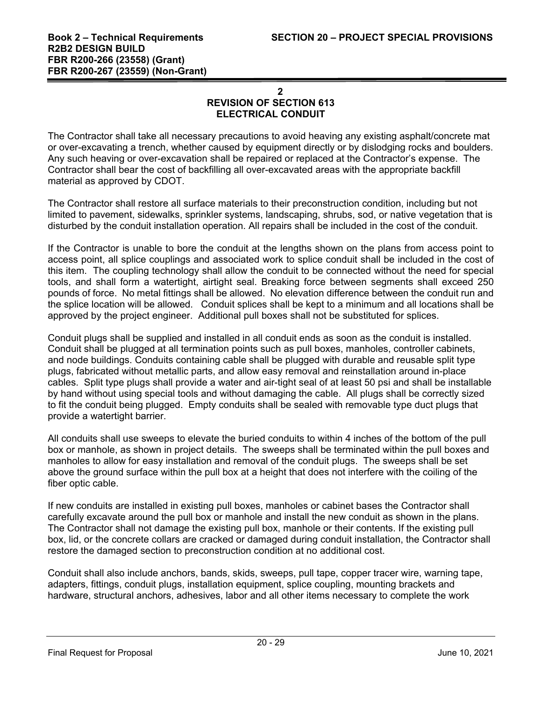## **2 REVISION OF SECTION 613 ELECTRICAL CONDUIT**

The Contractor shall take all necessary precautions to avoid heaving any existing asphalt/concrete mat or over-excavating a trench, whether caused by equipment directly or by dislodging rocks and boulders. Any such heaving or over-excavation shall be repaired or replaced at the Contractor's expense. The Contractor shall bear the cost of backfilling all over-excavated areas with the appropriate backfill material as approved by CDOT.

The Contractor shall restore all surface materials to their preconstruction condition, including but not limited to pavement, sidewalks, sprinkler systems, landscaping, shrubs, sod, or native vegetation that is disturbed by the conduit installation operation. All repairs shall be included in the cost of the conduit.

If the Contractor is unable to bore the conduit at the lengths shown on the plans from access point to access point, all splice couplings and associated work to splice conduit shall be included in the cost of this item. The coupling technology shall allow the conduit to be connected without the need for special tools, and shall form a watertight, airtight seal. Breaking force between segments shall exceed 250 pounds of force. No metal fittings shall be allowed. No elevation difference between the conduit run and the splice location will be allowed. Conduit splices shall be kept to a minimum and all locations shall be approved by the project engineer. Additional pull boxes shall not be substituted for splices.

Conduit plugs shall be supplied and installed in all conduit ends as soon as the conduit is installed. Conduit shall be plugged at all termination points such as pull boxes, manholes, controller cabinets, and node buildings. Conduits containing cable shall be plugged with durable and reusable split type plugs, fabricated without metallic parts, and allow easy removal and reinstallation around in-place cables. Split type plugs shall provide a water and air-tight seal of at least 50 psi and shall be installable by hand without using special tools and without damaging the cable. All plugs shall be correctly sized to fit the conduit being plugged. Empty conduits shall be sealed with removable type duct plugs that provide a watertight barrier.

All conduits shall use sweeps to elevate the buried conduits to within 4 inches of the bottom of the pull box or manhole, as shown in project details. The sweeps shall be terminated within the pull boxes and manholes to allow for easy installation and removal of the conduit plugs. The sweeps shall be set above the ground surface within the pull box at a height that does not interfere with the coiling of the fiber optic cable.

If new conduits are installed in existing pull boxes, manholes or cabinet bases the Contractor shall carefully excavate around the pull box or manhole and install the new conduit as shown in the plans. The Contractor shall not damage the existing pull box, manhole or their contents. If the existing pull box, lid, or the concrete collars are cracked or damaged during conduit installation, the Contractor shall restore the damaged section to preconstruction condition at no additional cost.

Conduit shall also include anchors, bands, skids, sweeps, pull tape, copper tracer wire, warning tape, adapters, fittings, conduit plugs, installation equipment, splice coupling, mounting brackets and hardware, structural anchors, adhesives, labor and all other items necessary to complete the work

Final Request for Proposal June 10, 2021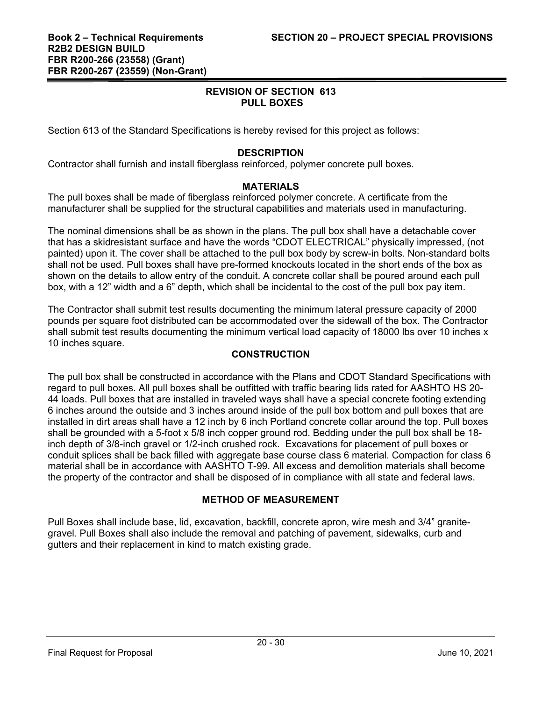## **REVISION OF SECTION 613 PULL BOXES**

Section 613 of the Standard Specifications is hereby revised for this project as follows:

# **DESCRIPTION**

Contractor shall furnish and install fiberglass reinforced, polymer concrete pull boxes.

## **MATERIALS**

The pull boxes shall be made of fiberglass reinforced polymer concrete. A certificate from the manufacturer shall be supplied for the structural capabilities and materials used in manufacturing.

The nominal dimensions shall be as shown in the plans. The pull box shall have a detachable cover that has a skidresistant surface and have the words "CDOT ELECTRICAL" physically impressed, (not painted) upon it. The cover shall be attached to the pull box body by screw-in bolts. Non-standard bolts shall not be used. Pull boxes shall have pre-formed knockouts located in the short ends of the box as shown on the details to allow entry of the conduit. A concrete collar shall be poured around each pull box, with a 12" width and a 6" depth, which shall be incidental to the cost of the pull box pay item.

The Contractor shall submit test results documenting the minimum lateral pressure capacity of 2000 pounds per square foot distributed can be accommodated over the sidewall of the box. The Contractor shall submit test results documenting the minimum vertical load capacity of 18000 lbs over 10 inches x 10 inches square.

## **CONSTRUCTION**

The pull box shall be constructed in accordance with the Plans and CDOT Standard Specifications with regard to pull boxes. All pull boxes shall be outfitted with traffic bearing lids rated for AASHTO HS 20- 44 loads. Pull boxes that are installed in traveled ways shall have a special concrete footing extending 6 inches around the outside and 3 inches around inside of the pull box bottom and pull boxes that are installed in dirt areas shall have a 12 inch by 6 inch Portland concrete collar around the top. Pull boxes shall be grounded with a 5-foot x 5/8 inch copper ground rod. Bedding under the pull box shall be 18 inch depth of 3/8-inch gravel or 1/2-inch crushed rock. Excavations for placement of pull boxes or conduit splices shall be back filled with aggregate base course class 6 material. Compaction for class 6 material shall be in accordance with AASHTO T-99. All excess and demolition materials shall become the property of the contractor and shall be disposed of in compliance with all state and federal laws.

# **METHOD OF MEASUREMENT**

Pull Boxes shall include base, lid, excavation, backfill, concrete apron, wire mesh and 3/4" granitegravel. Pull Boxes shall also include the removal and patching of pavement, sidewalks, curb and gutters and their replacement in kind to match existing grade.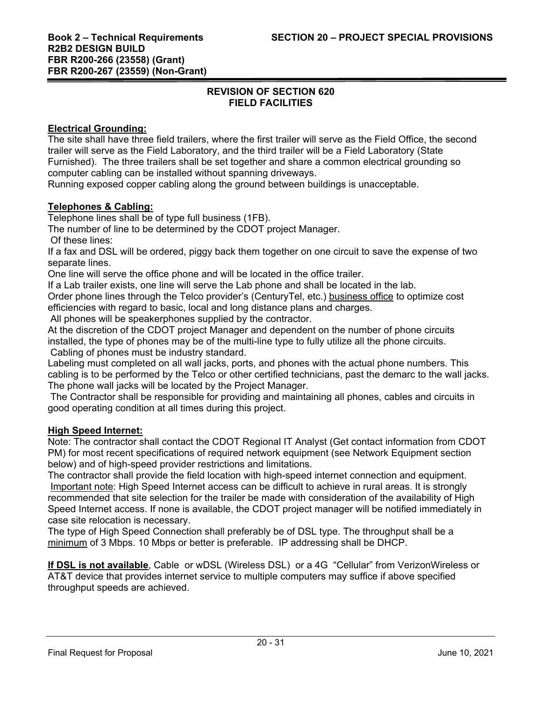# **REVISION OF SECTION 620 FIELD FACILITIES**

## **Electrical Grounding:**

The site shall have three field trailers, where the first trailer will serve as the Field Office, the second trailer will serve as the Field Laboratory, and the third trailer will be a Field Laboratory (State Furnished). The three trailers shall be set together and share a common electrical grounding so computer cabling can be installed without spanning driveways.

Running exposed copper cabling along the ground between buildings is unacceptable.

## **Telephones & Cabling:**

Telephone lines shall be of type full business (1FB).

The number of line to be determined by the CDOT project Manager.

Of these lines:

If a fax and DSL will be ordered, piggy back them together on one circuit to save the expense of two separate lines.

One line will serve the office phone and will be located in the office trailer.

If a Lab trailer exists, one line will serve the Lab phone and shall be located in the lab.

Order phone lines through the Telco provider's (CenturyTel, etc.) business office to optimize cost efficiencies with regard to basic, local and long distance plans and charges.

All phones will be speakerphones supplied by the contractor.

At the discretion of the CDOT project Manager and dependent on the number of phone circuits installed, the type of phones may be of the multi-line type to fully utilize all the phone circuits. Cabling of phones must be industry standard.

Labeling must completed on all wall jacks, ports, and phones with the actual phone numbers. This cabling is to be performed by the Telco or other certified technicians, past the demarc to the wall jacks. The phone wall jacks will be located by the Project Manager.

 The Contractor shall be responsible for providing and maintaining all phones, cables and circuits in good operating condition at all times during this project.

## **High Speed Internet:**

Note: The contractor shall contact the CDOT Regional IT Analyst (Get contact information from CDOT PM) for most recent specifications of required network equipment (see Network Equipment section below) and of high-speed provider restrictions and limitations.

The contractor shall provide the field location with high-speed internet connection and equipment. Important note: High Speed Internet access can be difficult to achieve in rural areas. It is strongly recommended that site selection for the trailer be made with consideration of the availability of High Speed Internet access. If none is available, the CDOT project manager will be notified immediately in case site relocation is necessary.

The type of High Speed Connection shall preferably be of DSL type. The throughput shall be a minimum of 3 Mbps. 10 Mbps or better is preferable. IP addressing shall be DHCP.

**If DSL is not available**, Cable or wDSL (Wireless DSL) or a 4G "Cellular" from VerizonWireless or AT&T device that provides internet service to multiple computers may suffice if above specified throughput speeds are achieved.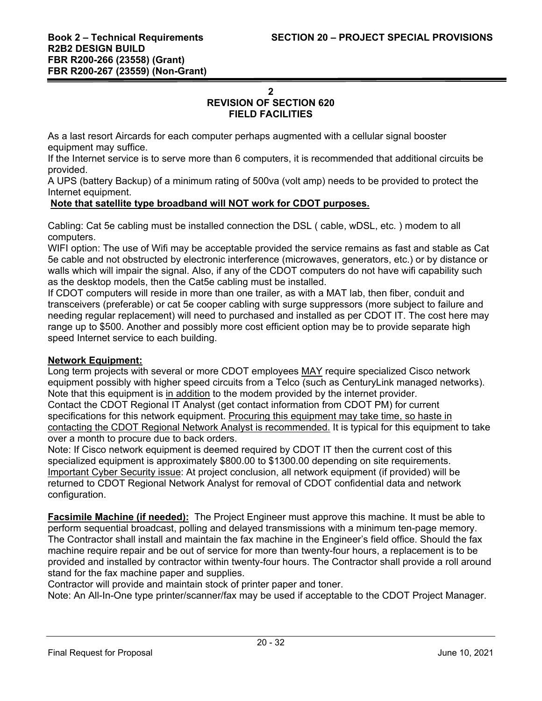#### **2**

# **REVISION OF SECTION 620**

#### **FIELD FACILITIES**

As a last resort Aircards for each computer perhaps augmented with a cellular signal booster equipment may suffice.

If the Internet service is to serve more than 6 computers, it is recommended that additional circuits be provided.

A UPS (battery Backup) of a minimum rating of 500va (volt amp) needs to be provided to protect the Internet equipment.

#### **Note that satellite type broadband will NOT work for CDOT purposes.**

Cabling: Cat 5e cabling must be installed connection the DSL ( cable, wDSL, etc. ) modem to all computers.

WIFI option: The use of Wifi may be acceptable provided the service remains as fast and stable as Cat 5e cable and not obstructed by electronic interference (microwaves, generators, etc.) or by distance or walls which will impair the signal. Also, if any of the CDOT computers do not have wifi capability such as the desktop models, then the Cat5e cabling must be installed.

If CDOT computers will reside in more than one trailer, as with a MAT lab, then fiber, conduit and transceivers (preferable) or cat 5e cooper cabling with surge suppressors (more subject to failure and needing regular replacement) will need to purchased and installed as per CDOT IT. The cost here may range up to \$500. Another and possibly more cost efficient option may be to provide separate high speed Internet service to each building.

## **Network Equipment:**

Long term projects with several or more CDOT employees MAY require specialized Cisco network equipment possibly with higher speed circuits from a Telco (such as CenturyLink managed networks). Note that this equipment is in addition to the modem provided by the internet provider. Contact the CDOT Regional IT Analyst (get contact information from CDOT PM) for current specifications for this network equipment. Procuring this equipment may take time, so haste in contacting the CDOT Regional Network Analyst is recommended. It is typical for this equipment to take over a month to procure due to back orders.

Note: If Cisco network equipment is deemed required by CDOT IT then the current cost of this specialized equipment is approximately \$800.00 to \$1300.00 depending on site requirements. Important Cyber Security issue: At project conclusion, all network equipment (if provided) will be returned to CDOT Regional Network Analyst for removal of CDOT confidential data and network configuration.

**Facsimile Machine (if needed):** The Project Engineer must approve this machine. It must be able to perform sequential broadcast, polling and delayed transmissions with a minimum ten-page memory. The Contractor shall install and maintain the fax machine in the Engineer's field office. Should the fax machine require repair and be out of service for more than twenty-four hours, a replacement is to be provided and installed by contractor within twenty-four hours. The Contractor shall provide a roll around stand for the fax machine paper and supplies.

Contractor will provide and maintain stock of printer paper and toner.

Note: An All-In-One type printer/scanner/fax may be used if acceptable to the CDOT Project Manager.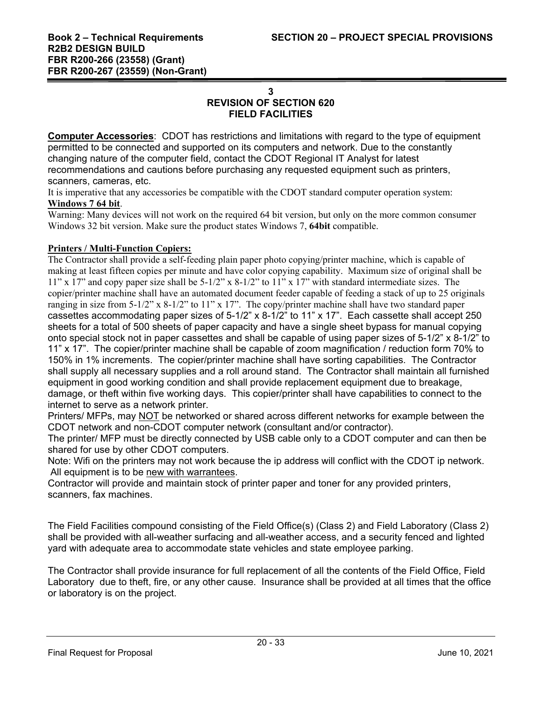# **3 REVISION OF SECTION 620 FIELD FACILITIES**

**Computer Accessories**: CDOT has restrictions and limitations with regard to the type of equipment permitted to be connected and supported on its computers and network. Due to the constantly changing nature of the computer field, contact the CDOT Regional IT Analyst for latest recommendations and cautions before purchasing any requested equipment such as printers, scanners, cameras, etc.

It is imperative that any accessories be compatible with the CDOT standard computer operation system: **Windows 7 64 bit**.

Warning: Many devices will not work on the required 64 bit version, but only on the more common consumer Windows 32 bit version. Make sure the product states Windows 7, **64bit** compatible.

## **Printers / Multi-Function Copiers:**

The Contractor shall provide a self-feeding plain paper photo copying/printer machine, which is capable of making at least fifteen copies per minute and have color copying capability. Maximum size of original shall be  $11"$  x 17" and copy paper size shall be  $5-1/2"$  x  $8-1/2"$  to  $11"$  x 17" with standard intermediate sizes. The copier/printer machine shall have an automated document feeder capable of feeding a stack of up to 25 originals ranging in size from 5-1/2" x 8-1/2" to 11" x 17". The copy/printer machine shall have two standard paper cassettes accommodating paper sizes of 5-1/2" x 8-1/2" to 11" x 17". Each cassette shall accept 250 sheets for a total of 500 sheets of paper capacity and have a single sheet bypass for manual copying onto special stock not in paper cassettes and shall be capable of using paper sizes of 5-1/2" x 8-1/2" to 11" x 17". The copier/printer machine shall be capable of zoom magnification / reduction form 70% to 150% in 1% increments. The copier/printer machine shall have sorting capabilities. The Contractor shall supply all necessary supplies and a roll around stand. The Contractor shall maintain all furnished equipment in good working condition and shall provide replacement equipment due to breakage, damage, or theft within five working days. This copier/printer shall have capabilities to connect to the internet to serve as a network printer.

Printers/ MFPs, may NOT be networked or shared across different networks for example between the CDOT network and non-CDOT computer network (consultant and/or contractor).

The printer/ MFP must be directly connected by USB cable only to a CDOT computer and can then be shared for use by other CDOT computers.

Note: Wifi on the printers may not work because the ip address will conflict with the CDOT ip network. All equipment is to be new with warrantees.

Contractor will provide and maintain stock of printer paper and toner for any provided printers, scanners, fax machines.

The Field Facilities compound consisting of the Field Office(s) (Class 2) and Field Laboratory (Class 2) shall be provided with all-weather surfacing and all-weather access, and a security fenced and lighted yard with adequate area to accommodate state vehicles and state employee parking.

The Contractor shall provide insurance for full replacement of all the contents of the Field Office, Field Laboratory due to theft, fire, or any other cause. Insurance shall be provided at all times that the office or laboratory is on the project.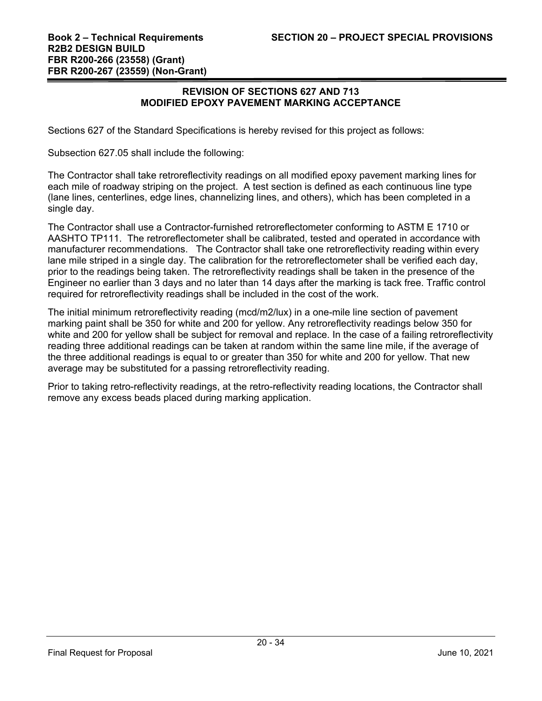#### **REVISION OF SECTIONS 627 AND 713 MODIFIED EPOXY PAVEMENT MARKING ACCEPTANCE**

Sections 627 of the Standard Specifications is hereby revised for this project as follows:

Subsection 627.05 shall include the following:

The Contractor shall take retroreflectivity readings on all modified epoxy pavement marking lines for each mile of roadway striping on the project. A test section is defined as each continuous line type (lane lines, centerlines, edge lines, channelizing lines, and others), which has been completed in a single day.

The Contractor shall use a Contractor-furnished retroreflectometer conforming to ASTM E 1710 or AASHTO TP111. The retroreflectometer shall be calibrated, tested and operated in accordance with manufacturer recommendations. The Contractor shall take one retroreflectivity reading within every lane mile striped in a single day. The calibration for the retroreflectometer shall be verified each day, prior to the readings being taken. The retroreflectivity readings shall be taken in the presence of the Engineer no earlier than 3 days and no later than 14 days after the marking is tack free. Traffic control required for retroreflectivity readings shall be included in the cost of the work.

The initial minimum retroreflectivity reading (mcd/m2/lux) in a one-mile line section of pavement marking paint shall be 350 for white and 200 for yellow. Any retroreflectivity readings below 350 for white and 200 for yellow shall be subject for removal and replace. In the case of a failing retroreflectivity reading three additional readings can be taken at random within the same line mile, if the average of the three additional readings is equal to or greater than 350 for white and 200 for yellow. That new average may be substituted for a passing retroreflectivity reading.

Prior to taking retro-reflectivity readings, at the retro-reflectivity reading locations, the Contractor shall remove any excess beads placed during marking application.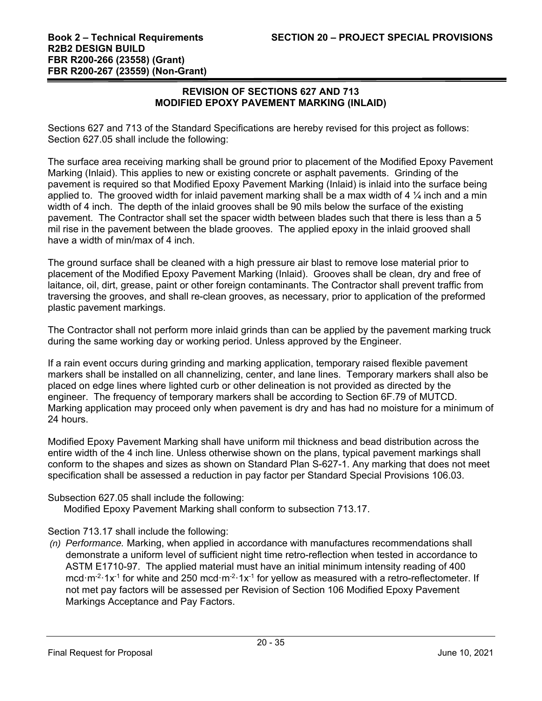## **REVISION OF SECTIONS 627 AND 713 MODIFIED EPOXY PAVEMENT MARKING (INLAID)**

Sections 627 and 713 of the Standard Specifications are hereby revised for this project as follows: Section 627.05 shall include the following:

The surface area receiving marking shall be ground prior to placement of the Modified Epoxy Pavement Marking (Inlaid). This applies to new or existing concrete or asphalt pavements. Grinding of the pavement is required so that Modified Epoxy Pavement Marking (Inlaid) is inlaid into the surface being applied to. The grooved width for inlaid pavement marking shall be a max width of 4  $\frac{1}{4}$  inch and a min width of 4 inch. The depth of the inlaid grooves shall be 90 mils below the surface of the existing pavement. The Contractor shall set the spacer width between blades such that there is less than a 5 mil rise in the pavement between the blade grooves. The applied epoxy in the inlaid grooved shall have a width of min/max of 4 inch.

The ground surface shall be cleaned with a high pressure air blast to remove lose material prior to placement of the Modified Epoxy Pavement Marking (Inlaid). Grooves shall be clean, dry and free of laitance, oil, dirt, grease, paint or other foreign contaminants. The Contractor shall prevent traffic from traversing the grooves, and shall re-clean grooves, as necessary, prior to application of the preformed plastic pavement markings.

The Contractor shall not perform more inlaid grinds than can be applied by the pavement marking truck during the same working day or working period. Unless approved by the Engineer.

If a rain event occurs during grinding and marking application, temporary raised flexible pavement markers shall be installed on all channelizing, center, and lane lines. Temporary markers shall also be placed on edge lines where lighted curb or other delineation is not provided as directed by the engineer. The frequency of temporary markers shall be according to Section 6F.79 of MUTCD. Marking application may proceed only when pavement is dry and has had no moisture for a minimum of 24 hours.

Modified Epoxy Pavement Marking shall have uniform mil thickness and bead distribution across the entire width of the 4 inch line. Unless otherwise shown on the plans, typical pavement markings shall conform to the shapes and sizes as shown on Standard Plan S-627-1. Any marking that does not meet specification shall be assessed a reduction in pay factor per Standard Special Provisions 106.03.

## Subsection 627.05 shall include the following:

Modified Epoxy Pavement Marking shall conform to subsection 713.17.

# Section 713.17 shall include the following:

*(n) Performance.* Marking, when applied in accordance with manufactures recommendations shall demonstrate a uniform level of sufficient night time retro-reflection when tested in accordance to ASTM E1710-97. The applied material must have an initial minimum intensity reading of 400 mcd $\cdot$ m<sup>-2</sup> $\cdot$ 1x<sup>-1</sup> for white and 250 mcd $\cdot$ m<sup>-2</sup> $\cdot$ 1x<sup>-1</sup> for yellow as measured with a retro-reflectometer. If not met pay factors will be assessed per Revision of Section 106 Modified Epoxy Pavement Markings Acceptance and Pay Factors.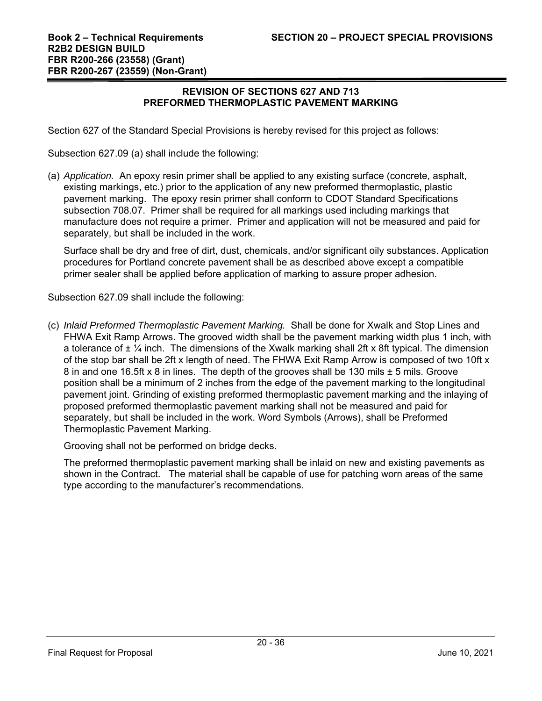## **REVISION OF SECTIONS 627 AND 713 PREFORMED THERMOPLASTIC PAVEMENT MARKING**

Section 627 of the Standard Special Provisions is hereby revised for this project as follows:

Subsection 627.09 (a) shall include the following:

(a) *Application.* An epoxy resin primer shall be applied to any existing surface (concrete, asphalt, existing markings, etc.) prior to the application of any new preformed thermoplastic, plastic pavement marking. The epoxy resin primer shall conform to CDOT Standard Specifications subsection 708.07. Primer shall be required for all markings used including markings that manufacture does not require a primer. Primer and application will not be measured and paid for separately, but shall be included in the work.

Surface shall be dry and free of dirt, dust, chemicals, and/or significant oily substances. Application procedures for Portland concrete pavement shall be as described above except a compatible primer sealer shall be applied before application of marking to assure proper adhesion.

Subsection 627.09 shall include the following:

(c) *Inlaid Preformed Thermoplastic Pavement Marking.* Shall be done for Xwalk and Stop Lines and FHWA Exit Ramp Arrows. The grooved width shall be the pavement marking width plus 1 inch, with a tolerance of  $\pm \frac{1}{4}$  inch. The dimensions of the Xwalk marking shall 2ft x 8ft typical. The dimension of the stop bar shall be 2ft x length of need. The FHWA Exit Ramp Arrow is composed of two 10ft x 8 in and one 16.5ft x 8 in lines. The depth of the grooves shall be 130 mils ± 5 mils. Groove position shall be a minimum of 2 inches from the edge of the pavement marking to the longitudinal pavement joint. Grinding of existing preformed thermoplastic pavement marking and the inlaying of proposed preformed thermoplastic pavement marking shall not be measured and paid for separately, but shall be included in the work. Word Symbols (Arrows), shall be Preformed Thermoplastic Pavement Marking.

Grooving shall not be performed on bridge decks.

The preformed thermoplastic pavement marking shall be inlaid on new and existing pavements as shown in the Contract. The material shall be capable of use for patching worn areas of the same type according to the manufacturer's recommendations.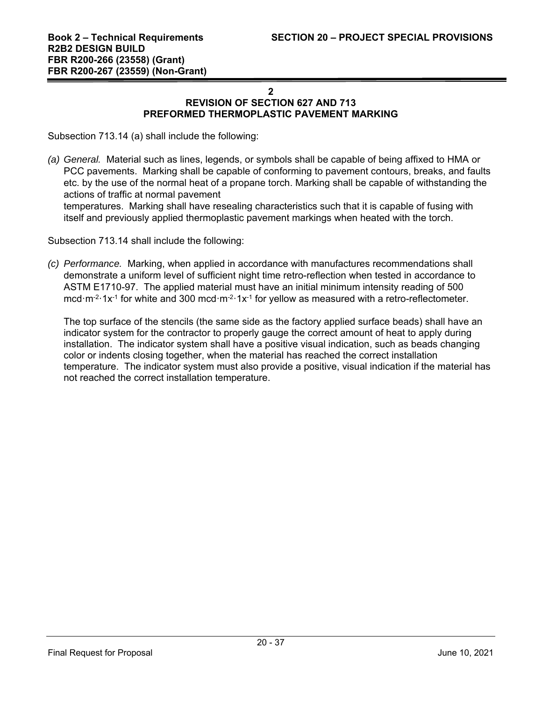## **2 REVISION OF SECTION 627 AND 713 PREFORMED THERMOPLASTIC PAVEMENT MARKING**

Subsection 713.14 (a) shall include the following:

*(a) General.* Material such as lines, legends, or symbols shall be capable of being affixed to HMA or PCC pavements. Marking shall be capable of conforming to pavement contours, breaks, and faults etc. by the use of the normal heat of a propane torch. Marking shall be capable of withstanding the actions of traffic at normal pavement

temperatures. Marking shall have resealing characteristics such that it is capable of fusing with itself and previously applied thermoplastic pavement markings when heated with the torch.

Subsection 713.14 shall include the following:

*(c) Performance.* Marking, when applied in accordance with manufactures recommendations shall demonstrate a uniform level of sufficient night time retro-reflection when tested in accordance to ASTM E1710-97. The applied material must have an initial minimum intensity reading of 500 mcd $\cdot$ m<sup>-2</sup> $\cdot$ 1x<sup>-1</sup> for white and 300 mcd $\cdot$ m<sup>-2</sup> $\cdot$ 1x<sup>-1</sup> for yellow as measured with a retro-reflectometer.

The top surface of the stencils (the same side as the factory applied surface beads) shall have an indicator system for the contractor to properly gauge the correct amount of heat to apply during installation. The indicator system shall have a positive visual indication, such as beads changing color or indents closing together, when the material has reached the correct installation temperature. The indicator system must also provide a positive, visual indication if the material has not reached the correct installation temperature.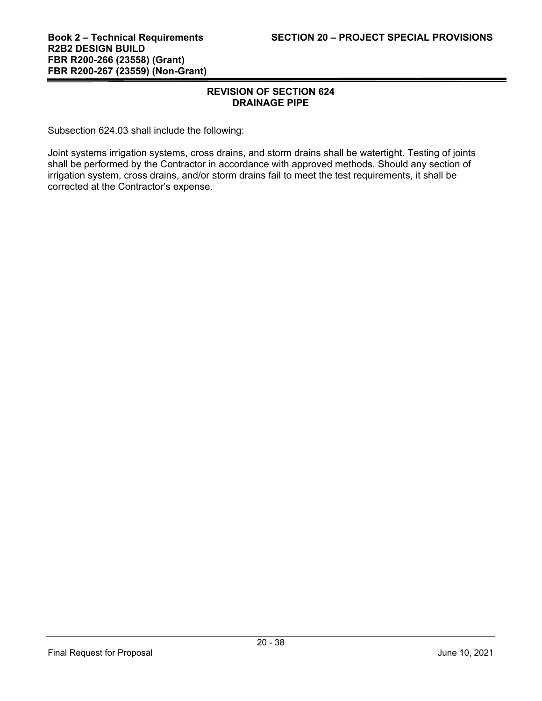## **REVISION OF SECTION 624 DRAINAGE PIPE**

Subsection 624.03 shall include the following:

Joint systems irrigation systems, cross drains, and storm drains shall be watertight. Testing of joints shall be performed by the Contractor in accordance with approved methods. Should any section of irrigation system, cross drains, and/or storm drains fail to meet the test requirements, it shall be corrected at the Contractor's expense.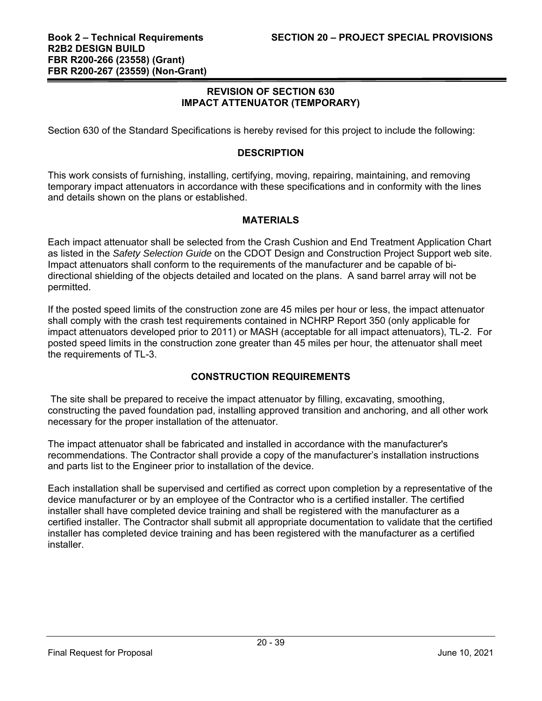## **REVISION OF SECTION 630 IMPACT ATTENUATOR (TEMPORARY)**

Section 630 of the Standard Specifications is hereby revised for this project to include the following:

#### **DESCRIPTION**

This work consists of furnishing, installing, certifying, moving, repairing, maintaining, and removing temporary impact attenuators in accordance with these specifications and in conformity with the lines and details shown on the plans or established.

#### **MATERIALS**

Each impact attenuator shall be selected from the Crash Cushion and End Treatment Application Chart as listed in the *Safety Selection Guide* on the CDOT Design and Construction Project Support web site. Impact attenuators shall conform to the requirements of the manufacturer and be capable of bidirectional shielding of the objects detailed and located on the plans. A sand barrel array will not be permitted.

If the posted speed limits of the construction zone are 45 miles per hour or less, the impact attenuator shall comply with the crash test requirements contained in NCHRP Report 350 (only applicable for impact attenuators developed prior to 2011) or MASH (acceptable for all impact attenuators), TL-2. For posted speed limits in the construction zone greater than 45 miles per hour, the attenuator shall meet the requirements of TL-3.

## **CONSTRUCTION REQUIREMENTS**

 The site shall be prepared to receive the impact attenuator by filling, excavating, smoothing, constructing the paved foundation pad, installing approved transition and anchoring, and all other work necessary for the proper installation of the attenuator.

The impact attenuator shall be fabricated and installed in accordance with the manufacturer's recommendations. The Contractor shall provide a copy of the manufacturer's installation instructions and parts list to the Engineer prior to installation of the device.

Each installation shall be supervised and certified as correct upon completion by a representative of the device manufacturer or by an employee of the Contractor who is a certified installer. The certified installer shall have completed device training and shall be registered with the manufacturer as a certified installer. The Contractor shall submit all appropriate documentation to validate that the certified installer has completed device training and has been registered with the manufacturer as a certified installer.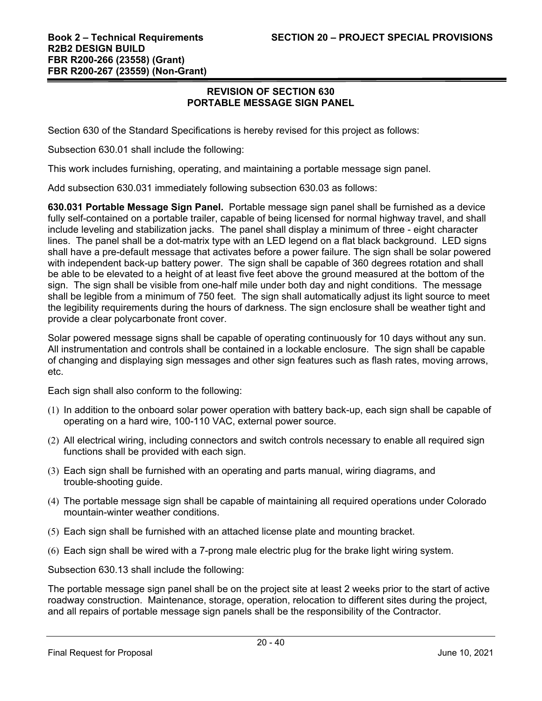#### **REVISION OF SECTION 630 PORTABLE MESSAGE SIGN PANEL**

Section 630 of the Standard Specifications is hereby revised for this project as follows:

Subsection 630.01 shall include the following:

This work includes furnishing, operating, and maintaining a portable message sign panel.

Add subsection 630.031 immediately following subsection 630.03 as follows:

**630.031 Portable Message Sign Panel.** Portable message sign panel shall be furnished as a device fully self-contained on a portable trailer, capable of being licensed for normal highway travel, and shall include leveling and stabilization jacks. The panel shall display a minimum of three - eight character lines. The panel shall be a dot-matrix type with an LED legend on a flat black background. LED signs shall have a pre-default message that activates before a power failure. The sign shall be solar powered with independent back-up battery power. The sign shall be capable of 360 degrees rotation and shall be able to be elevated to a height of at least five feet above the ground measured at the bottom of the sign. The sign shall be visible from one-half mile under both day and night conditions. The message shall be legible from a minimum of 750 feet. The sign shall automatically adjust its light source to meet the legibility requirements during the hours of darkness. The sign enclosure shall be weather tight and provide a clear polycarbonate front cover.

Solar powered message signs shall be capable of operating continuously for 10 days without any sun. All instrumentation and controls shall be contained in a lockable enclosure. The sign shall be capable of changing and displaying sign messages and other sign features such as flash rates, moving arrows, etc.

Each sign shall also conform to the following:

- (1) In addition to the onboard solar power operation with battery back-up, each sign shall be capable of operating on a hard wire, 100-110 VAC, external power source.
- (2) All electrical wiring, including connectors and switch controls necessary to enable all required sign functions shall be provided with each sign.
- (3) Each sign shall be furnished with an operating and parts manual, wiring diagrams, and trouble-shooting guide.
- (4) The portable message sign shall be capable of maintaining all required operations under Colorado mountain-winter weather conditions.
- (5) Each sign shall be furnished with an attached license plate and mounting bracket.
- (6) Each sign shall be wired with a 7-prong male electric plug for the brake light wiring system.

Subsection 630.13 shall include the following:

The portable message sign panel shall be on the project site at least 2 weeks prior to the start of active roadway construction. Maintenance, storage, operation, relocation to different sites during the project, and all repairs of portable message sign panels shall be the responsibility of the Contractor.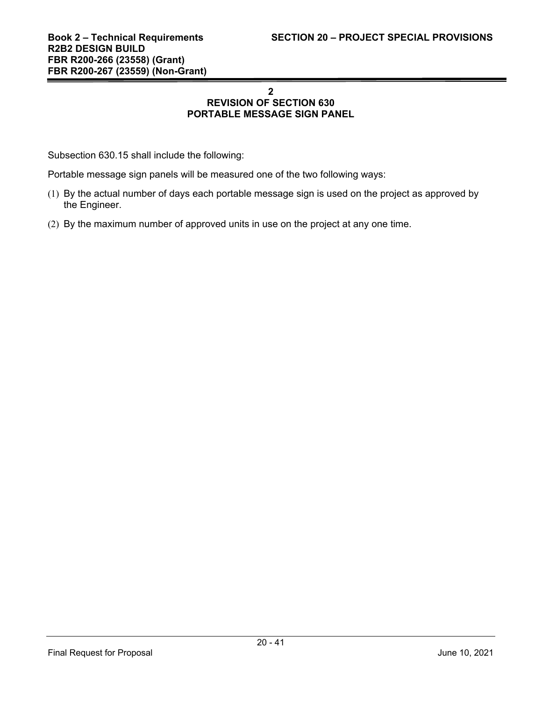# **2 REVISION OF SECTION 630 PORTABLE MESSAGE SIGN PANEL**

Subsection 630.15 shall include the following:

Portable message sign panels will be measured one of the two following ways:

- (1) By the actual number of days each portable message sign is used on the project as approved by the Engineer.
- (2) By the maximum number of approved units in use on the project at any one time.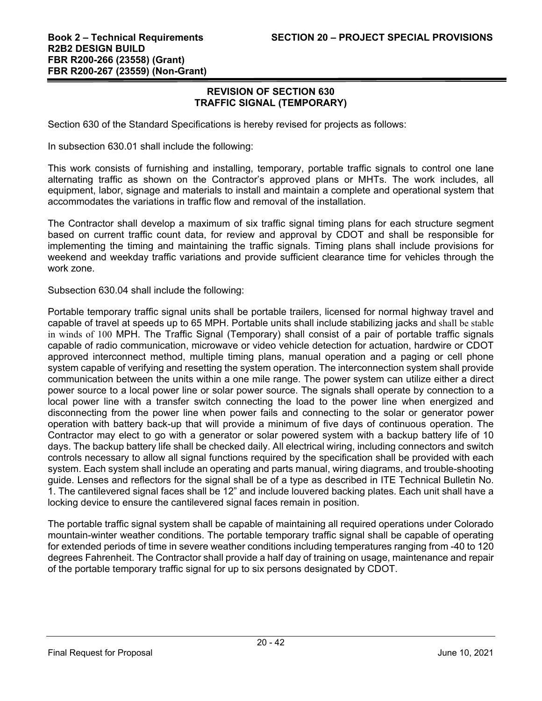#### **REVISION OF SECTION 630 TRAFFIC SIGNAL (TEMPORARY)**

Section 630 of the Standard Specifications is hereby revised for projects as follows:

In subsection 630.01 shall include the following:

This work consists of furnishing and installing, temporary, portable traffic signals to control one lane alternating traffic as shown on the Contractor's approved plans or MHTs. The work includes, all equipment, labor, signage and materials to install and maintain a complete and operational system that accommodates the variations in traffic flow and removal of the installation.

The Contractor shall develop a maximum of six traffic signal timing plans for each structure segment based on current traffic count data, for review and approval by CDOT and shall be responsible for implementing the timing and maintaining the traffic signals. Timing plans shall include provisions for weekend and weekday traffic variations and provide sufficient clearance time for vehicles through the work zone.

Subsection 630.04 shall include the following:

Portable temporary traffic signal units shall be portable trailers, licensed for normal highway travel and capable of travel at speeds up to 65 MPH. Portable units shall include stabilizing jacks and shall be stable in winds of 100 MPH. The Traffic Signal (Temporary) shall consist of a pair of portable traffic signals capable of radio communication, microwave or video vehicle detection for actuation, hardwire or CDOT approved interconnect method, multiple timing plans, manual operation and a paging or cell phone system capable of verifying and resetting the system operation. The interconnection system shall provide communication between the units within a one mile range. The power system can utilize either a direct power source to a local power line or solar power source. The signals shall operate by connection to a local power line with a transfer switch connecting the load to the power line when energized and disconnecting from the power line when power fails and connecting to the solar or generator power operation with battery back-up that will provide a minimum of five days of continuous operation. The Contractor may elect to go with a generator or solar powered system with a backup battery life of 10 days. The backup battery life shall be checked daily. All electrical wiring, including connectors and switch controls necessary to allow all signal functions required by the specification shall be provided with each system. Each system shall include an operating and parts manual, wiring diagrams, and trouble-shooting guide. Lenses and reflectors for the signal shall be of a type as described in ITE Technical Bulletin No. 1. The cantilevered signal faces shall be 12" and include louvered backing plates. Each unit shall have a locking device to ensure the cantilevered signal faces remain in position.

The portable traffic signal system shall be capable of maintaining all required operations under Colorado mountain-winter weather conditions. The portable temporary traffic signal shall be capable of operating for extended periods of time in severe weather conditions including temperatures ranging from -40 to 120 degrees Fahrenheit. The Contractor shall provide a half day of training on usage, maintenance and repair of the portable temporary traffic signal for up to six persons designated by CDOT.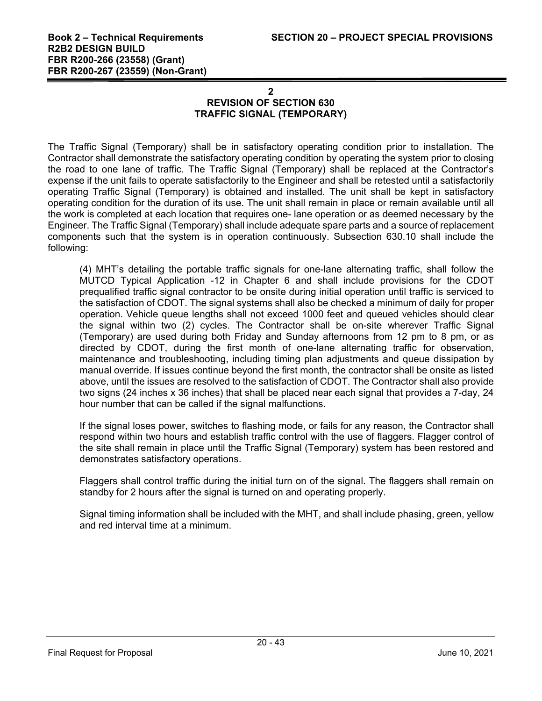## **2 REVISION OF SECTION 630 TRAFFIC SIGNAL (TEMPORARY)**

The Traffic Signal (Temporary) shall be in satisfactory operating condition prior to installation. The Contractor shall demonstrate the satisfactory operating condition by operating the system prior to closing the road to one lane of traffic. The Traffic Signal (Temporary) shall be replaced at the Contractor's expense if the unit fails to operate satisfactorily to the Engineer and shall be retested until a satisfactorily operating Traffic Signal (Temporary) is obtained and installed. The unit shall be kept in satisfactory operating condition for the duration of its use. The unit shall remain in place or remain available until all the work is completed at each location that requires one- lane operation or as deemed necessary by the Engineer. The Traffic Signal (Temporary) shall include adequate spare parts and a source of replacement components such that the system is in operation continuously. Subsection 630.10 shall include the following:

(4) MHT's detailing the portable traffic signals for one-lane alternating traffic, shall follow the MUTCD Typical Application -12 in Chapter 6 and shall include provisions for the CDOT prequalified traffic signal contractor to be onsite during initial operation until traffic is serviced to the satisfaction of CDOT. The signal systems shall also be checked a minimum of daily for proper operation. Vehicle queue lengths shall not exceed 1000 feet and queued vehicles should clear the signal within two (2) cycles. The Contractor shall be on-site wherever Traffic Signal (Temporary) are used during both Friday and Sunday afternoons from 12 pm to 8 pm, or as directed by CDOT, during the first month of one-lane alternating traffic for observation, maintenance and troubleshooting, including timing plan adjustments and queue dissipation by manual override. If issues continue beyond the first month, the contractor shall be onsite as listed above, until the issues are resolved to the satisfaction of CDOT. The Contractor shall also provide two signs (24 inches x 36 inches) that shall be placed near each signal that provides a 7-day, 24 hour number that can be called if the signal malfunctions.

If the signal loses power, switches to flashing mode, or fails for any reason, the Contractor shall respond within two hours and establish traffic control with the use of flaggers. Flagger control of the site shall remain in place until the Traffic Signal (Temporary) system has been restored and demonstrates satisfactory operations.

Flaggers shall control traffic during the initial turn on of the signal. The flaggers shall remain on standby for 2 hours after the signal is turned on and operating properly.

Signal timing information shall be included with the MHT, and shall include phasing, green, yellow and red interval time at a minimum.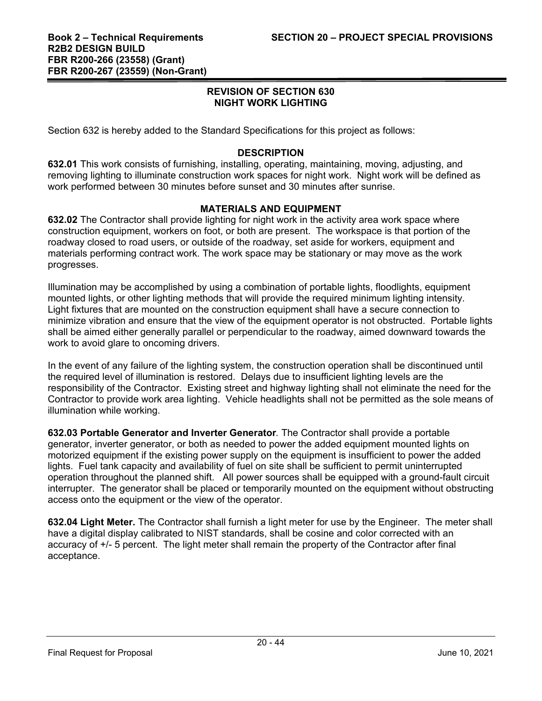## **REVISION OF SECTION 630 NIGHT WORK LIGHTING**

Section 632 is hereby added to the Standard Specifications for this project as follows:

## **DESCRIPTION**

**632.01** This work consists of furnishing, installing, operating, maintaining, moving, adjusting, and removing lighting to illuminate construction work spaces for night work. Night work will be defined as work performed between 30 minutes before sunset and 30 minutes after sunrise.

## **MATERIALS AND EQUIPMENT**

**632.02** The Contractor shall provide lighting for night work in the activity area work space where construction equipment, workers on foot, or both are present. The workspace is that portion of the roadway closed to road users, or outside of the roadway, set aside for workers, equipment and materials performing contract work. The work space may be stationary or may move as the work progresses.

Illumination may be accomplished by using a combination of portable lights, floodlights, equipment mounted lights, or other lighting methods that will provide the required minimum lighting intensity. Light fixtures that are mounted on the construction equipment shall have a secure connection to minimize vibration and ensure that the view of the equipment operator is not obstructed. Portable lights shall be aimed either generally parallel or perpendicular to the roadway, aimed downward towards the work to avoid glare to oncoming drivers.

In the event of any failure of the lighting system, the construction operation shall be discontinued until the required level of illumination is restored. Delays due to insufficient lighting levels are the responsibility of the Contractor. Existing street and highway lighting shall not eliminate the need for the Contractor to provide work area lighting. Vehicle headlights shall not be permitted as the sole means of illumination while working.

**632.03 Portable Generator and Inverter Generator***.* The Contractor shall provide a portable generator, inverter generator, or both as needed to power the added equipment mounted lights on motorized equipment if the existing power supply on the equipment is insufficient to power the added lights. Fuel tank capacity and availability of fuel on site shall be sufficient to permit uninterrupted operation throughout the planned shift. All power sources shall be equipped with a ground-fault circuit interrupter. The generator shall be placed or temporarily mounted on the equipment without obstructing access onto the equipment or the view of the operator.

**632.04 Light Meter.** The Contractor shall furnish a light meter for use by the Engineer. The meter shall have a digital display calibrated to NIST standards, shall be cosine and color corrected with an accuracy of +/- 5 percent. The light meter shall remain the property of the Contractor after final acceptance.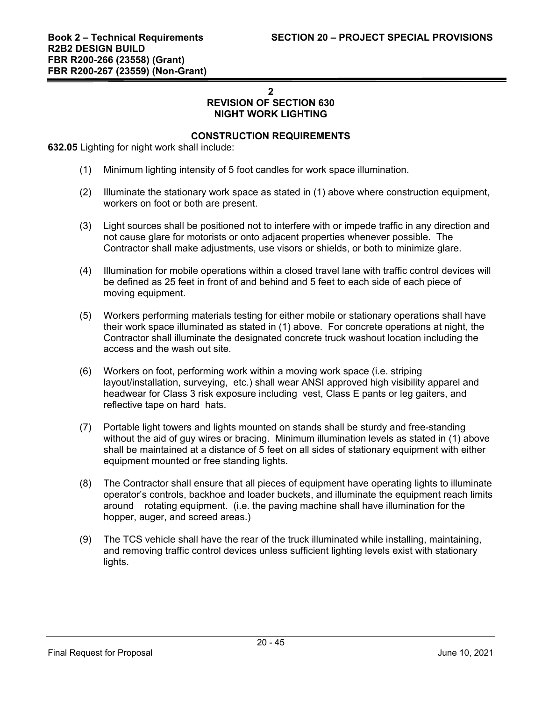**2** 

#### **REVISION OF SECTION 630 NIGHT WORK LIGHTING**

## **CONSTRUCTION REQUIREMENTS**

**632.05** Lighting for night work shall include:

- (1) Minimum lighting intensity of 5 foot candles for work space illumination.
- (2) Illuminate the stationary work space as stated in (1) above where construction equipment, workers on foot or both are present.
- (3) Light sources shall be positioned not to interfere with or impede traffic in any direction and not cause glare for motorists or onto adjacent properties whenever possible. The Contractor shall make adjustments, use visors or shields, or both to minimize glare.
- (4) Illumination for mobile operations within a closed travel lane with traffic control devices will be defined as 25 feet in front of and behind and 5 feet to each side of each piece of moving equipment.
- (5) Workers performing materials testing for either mobile or stationary operations shall have their work space illuminated as stated in (1) above. For concrete operations at night, the Contractor shall illuminate the designated concrete truck washout location including the access and the wash out site.
- (6) Workers on foot, performing work within a moving work space (i.e. striping layout/installation, surveying, etc.) shall wear ANSI approved high visibility apparel and headwear for Class 3 risk exposure including vest, Class E pants or leg gaiters, and reflective tape on hard hats.
- (7) Portable light towers and lights mounted on stands shall be sturdy and free-standing without the aid of guy wires or bracing. Minimum illumination levels as stated in (1) above shall be maintained at a distance of 5 feet on all sides of stationary equipment with either equipment mounted or free standing lights.
- (8) The Contractor shall ensure that all pieces of equipment have operating lights to illuminate operator's controls, backhoe and loader buckets, and illuminate the equipment reach limits around rotating equipment. (i.e. the paving machine shall have illumination for the hopper, auger, and screed areas.)
- (9) The TCS vehicle shall have the rear of the truck illuminated while installing, maintaining, and removing traffic control devices unless sufficient lighting levels exist with stationary lights.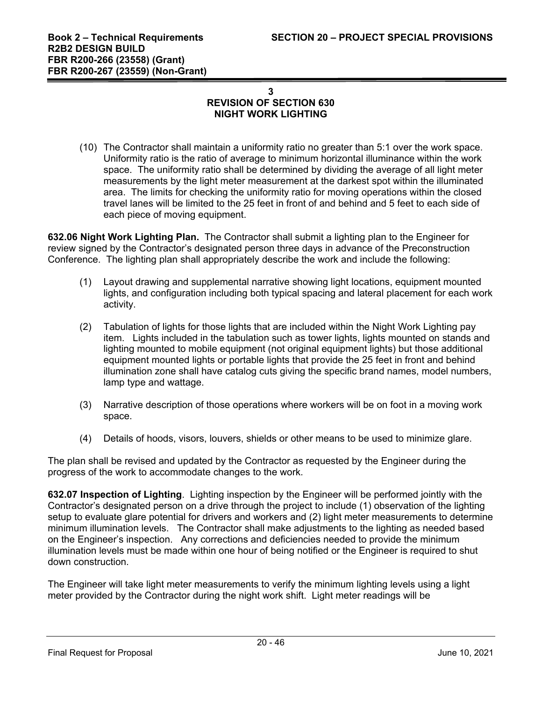# **3 REVISION OF SECTION 630 NIGHT WORK LIGHTING**

(10) The Contractor shall maintain a uniformity ratio no greater than 5:1 over the work space. Uniformity ratio is the ratio of average to minimum horizontal illuminance within the work space. The uniformity ratio shall be determined by dividing the average of all light meter measurements by the light meter measurement at the darkest spot within the illuminated area. The limits for checking the uniformity ratio for moving operations within the closed travel lanes will be limited to the 25 feet in front of and behind and 5 feet to each side of each piece of moving equipment.

**632.06 Night Work Lighting Plan.** The Contractor shall submit a lighting plan to the Engineer for review signed by the Contractor's designated person three days in advance of the Preconstruction Conference. The lighting plan shall appropriately describe the work and include the following:

- (1) Layout drawing and supplemental narrative showing light locations, equipment mounted lights, and configuration including both typical spacing and lateral placement for each work activity.
- (2) Tabulation of lights for those lights that are included within the Night Work Lighting pay item. Lights included in the tabulation such as tower lights, lights mounted on stands and lighting mounted to mobile equipment (not original equipment lights) but those additional equipment mounted lights or portable lights that provide the 25 feet in front and behind illumination zone shall have catalog cuts giving the specific brand names, model numbers, lamp type and wattage.
- (3) Narrative description of those operations where workers will be on foot in a moving work space.
- (4) Details of hoods, visors, louvers, shields or other means to be used to minimize glare.

The plan shall be revised and updated by the Contractor as requested by the Engineer during the progress of the work to accommodate changes to the work.

**632.07 Inspection of Lighting**. Lighting inspection by the Engineer will be performed jointly with the Contractor's designated person on a drive through the project to include (1) observation of the lighting setup to evaluate glare potential for drivers and workers and (2) light meter measurements to determine minimum illumination levels. The Contractor shall make adjustments to the lighting as needed based on the Engineer's inspection. Any corrections and deficiencies needed to provide the minimum illumination levels must be made within one hour of being notified or the Engineer is required to shut down construction.

The Engineer will take light meter measurements to verify the minimum lighting levels using a light meter provided by the Contractor during the night work shift. Light meter readings will be

Final Request for Proposal June 10, 2021